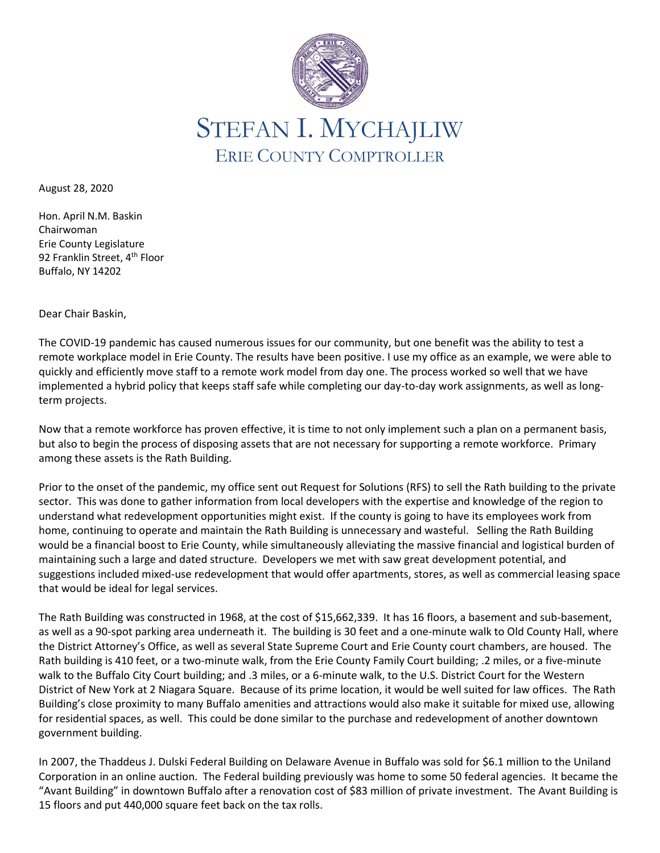

August 28, 2020

Hon. April N.M. Baskin Chairwoman Erie County Legislature 92 Franklin Street, 4<sup>th</sup> Floor Buffalo, NY 14202

Dear Chair Baskin,

The COVID-19 pandemic has caused numerous issues for our community, but one benefit was the ability to test a remote workplace model in Erie County. The results have been positive. I use my office as an example, we were able to quickly and efficiently move staff to a remote work model from day one. The process worked so well that we have implemented a hybrid policy that keeps staff safe while completing our day-to-day work assignments, as well as longterm projects.

Now that a remote workforce has proven effective, it is time to not only implement such a plan on a permanent basis, but also to begin the process of disposing assets that are not necessary for supporting a remote workforce. Primary among these assets is the Rath Building.

Prior to the onset of the pandemic, my office sent out Request for Solutions (RFS) to sell the Rath building to the private sector. This was done to gather information from local developers with the expertise and knowledge of the region to understand what redevelopment opportunities might exist. If the county is going to have its employees work from home, continuing to operate and maintain the Rath Building is unnecessary and wasteful. Selling the Rath Building would be a financial boost to Erie County, while simultaneously alleviating the massive financial and logistical burden of maintaining such a large and dated structure. Developers we met with saw great development potential, and suggestions included mixed-use redevelopment that would offer apartments, stores, as well as commercial leasing space that would be ideal for legal services.

The Rath Building was constructed in 1968, at the cost of \$15,662,339. It has 16 floors, a basement and sub-basement, as well as a 90-spot parking area underneath it. The building is 30 feet and a one-minute walk to Old County Hall, where the District Attorney's Office, as well as several State Supreme Court and Erie County court chambers, are housed. The Rath building is 410 feet, or a two-minute walk, from the Erie County Family Court building; .2 miles, or a five-minute walk to the Buffalo City Court building; and .3 miles, or a 6-minute walk, to the U.S. District Court for the Western District of New York at 2 Niagara Square. Because of its prime location, it would be well suited for law offices. The Rath Building's close proximity to many Buffalo amenities and attractions would also make it suitable for mixed use, allowing for residential spaces, as well. This could be done similar to the purchase and redevelopment of another downtown government building.

In 2007, the Thaddeus J. Dulski Federal Building on Delaware Avenue in Buffalo was sold for \$6.1 million to the Uniland Corporation in an online auction. The Federal building previously was home to some 50 federal agencies. It became the "Avant Building" in downtown Buffalo after a renovation cost of \$83 million of private investment. The Avant Building is 15 floors and put 440,000 square feet back on the tax rolls.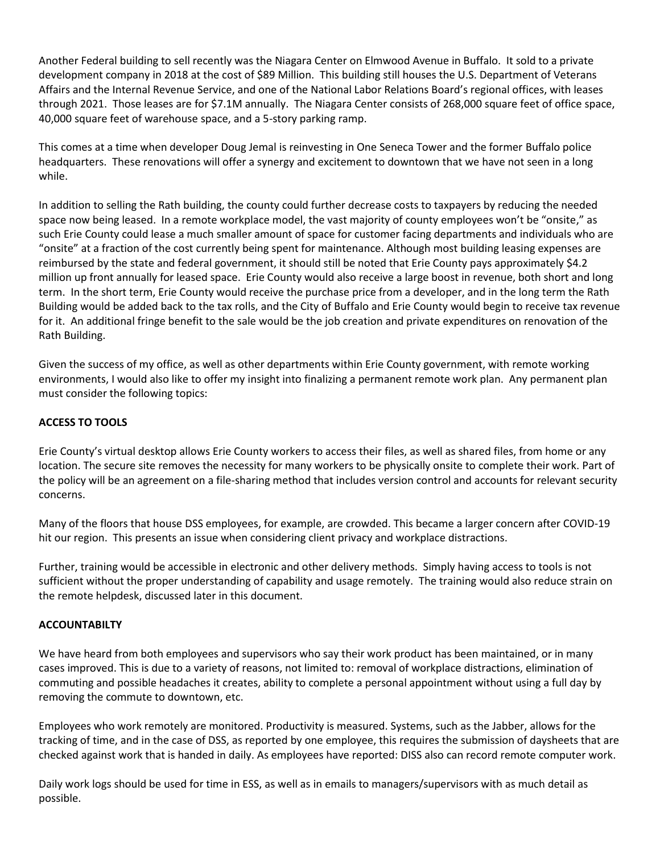Another Federal building to sell recently was the Niagara Center on Elmwood Avenue in Buffalo. It sold to a private development company in 2018 at the cost of \$89 Million. This building still houses the U.S. Department of Veterans Affairs and the Internal Revenue Service, and one of the National Labor Relations Board's regional offices, with leases through 2021. Those leases are for \$7.1M annually. The Niagara Center consists of 268,000 square feet of office space, 40,000 square feet of warehouse space, and a 5-story parking ramp.

This comes at a time when developer Doug Jemal is reinvesting in One Seneca Tower and the former Buffalo police headquarters. These renovations will offer a synergy and excitement to downtown that we have not seen in a long while.

In addition to selling the Rath building, the county could further decrease costs to taxpayers by reducing the needed space now being leased. In a remote workplace model, the vast majority of county employees won't be "onsite," as such Erie County could lease a much smaller amount of space for customer facing departments and individuals who are "onsite" at a fraction of the cost currently being spent for maintenance. Although most building leasing expenses are reimbursed by the state and federal government, it should still be noted that Erie County pays approximately \$4.2 million up front annually for leased space. Erie County would also receive a large boost in revenue, both short and long term. In the short term, Erie County would receive the purchase price from a developer, and in the long term the Rath Building would be added back to the tax rolls, and the City of Buffalo and Erie County would begin to receive tax revenue for it. An additional fringe benefit to the sale would be the job creation and private expenditures on renovation of the Rath Building.

Given the success of my office, as well as other departments within Erie County government, with remote working environments, I would also like to offer my insight into finalizing a permanent remote work plan. Any permanent plan must consider the following topics:

# **ACCESS TO TOOLS**

Erie County's virtual desktop allows Erie County workers to access their files, as well as shared files, from home or any location. The secure site removes the necessity for many workers to be physically onsite to complete their work. Part of the policy will be an agreement on a file-sharing method that includes version control and accounts for relevant security concerns.

Many of the floors that house DSS employees, for example, are crowded. This became a larger concern after COVID-19 hit our region. This presents an issue when considering client privacy and workplace distractions.

Further, training would be accessible in electronic and other delivery methods. Simply having access to tools is not sufficient without the proper understanding of capability and usage remotely. The training would also reduce strain on the remote helpdesk, discussed later in this document.

## **ACCOUNTABILTY**

We have heard from both employees and supervisors who say their work product has been maintained, or in many cases improved. This is due to a variety of reasons, not limited to: removal of workplace distractions, elimination of commuting and possible headaches it creates, ability to complete a personal appointment without using a full day by removing the commute to downtown, etc.

Employees who work remotely are monitored. Productivity is measured. Systems, such as the Jabber, allows for the tracking of time, and in the case of DSS, as reported by one employee, this requires the submission of daysheets that are checked against work that is handed in daily. As employees have reported: DISS also can record remote computer work.

Daily work logs should be used for time in ESS, as well as in emails to managers/supervisors with as much detail as possible.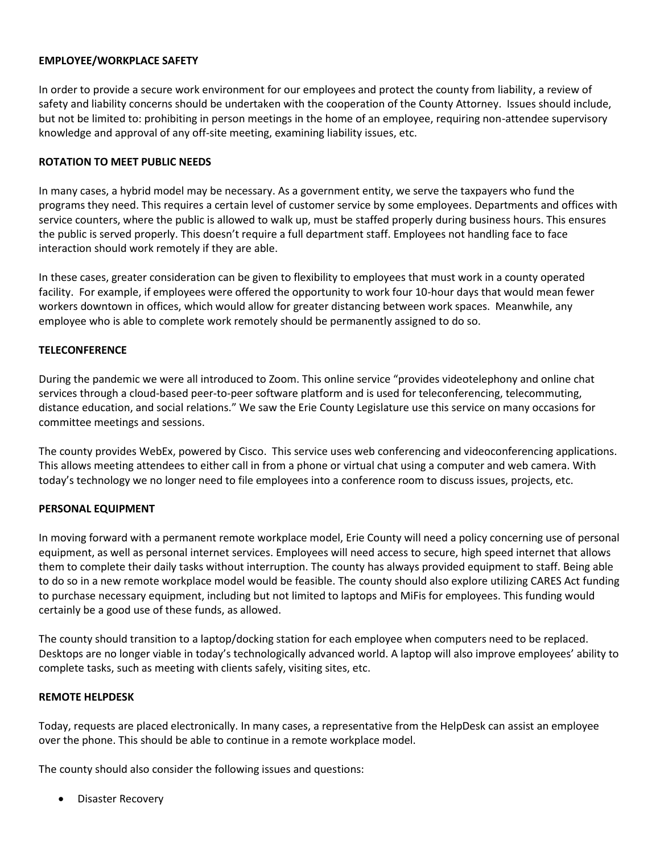### **EMPLOYEE/WORKPLACE SAFETY**

In order to provide a secure work environment for our employees and protect the county from liability, a review of safety and liability concerns should be undertaken with the cooperation of the County Attorney. Issues should include, but not be limited to: prohibiting in person meetings in the home of an employee, requiring non-attendee supervisory knowledge and approval of any off-site meeting, examining liability issues, etc.

### **ROTATION TO MEET PUBLIC NEEDS**

In many cases, a hybrid model may be necessary. As a government entity, we serve the taxpayers who fund the programs they need. This requires a certain level of customer service by some employees. Departments and offices with service counters, where the public is allowed to walk up, must be staffed properly during business hours. This ensures the public is served properly. This doesn't require a full department staff. Employees not handling face to face interaction should work remotely if they are able.

In these cases, greater consideration can be given to flexibility to employees that must work in a county operated facility. For example, if employees were offered the opportunity to work four 10-hour days that would mean fewer workers downtown in offices, which would allow for greater distancing between work spaces. Meanwhile, any employee who is able to complete work remotely should be permanently assigned to do so.

### **TELECONFERENCE**

During the pandemic we were all introduced to Zoom. This online service "provides videotelephony and online chat services through a cloud-based peer-to-peer software platform and is used for teleconferencing, telecommuting, distance education, and social relations." We saw the Erie County Legislature use this service on many occasions for committee meetings and sessions.

The county provides WebEx, powered by Cisco. This service uses web conferencing and videoconferencing applications. This allows meeting attendees to either call in from a phone or virtual chat using a computer and web camera. With today's technology we no longer need to file employees into a conference room to discuss issues, projects, etc.

## **PERSONAL EQUIPMENT**

In moving forward with a permanent remote workplace model, Erie County will need a policy concerning use of personal equipment, as well as personal internet services. Employees will need access to secure, high speed internet that allows them to complete their daily tasks without interruption. The county has always provided equipment to staff. Being able to do so in a new remote workplace model would be feasible. The county should also explore utilizing CARES Act funding to purchase necessary equipment, including but not limited to laptops and MiFis for employees. This funding would certainly be a good use of these funds, as allowed.

The county should transition to a laptop/docking station for each employee when computers need to be replaced. Desktops are no longer viable in today's technologically advanced world. A laptop will also improve employees' ability to complete tasks, such as meeting with clients safely, visiting sites, etc.

#### **REMOTE HELPDESK**

Today, requests are placed electronically. In many cases, a representative from the HelpDesk can assist an employee over the phone. This should be able to continue in a remote workplace model.

The county should also consider the following issues and questions:

• Disaster Recovery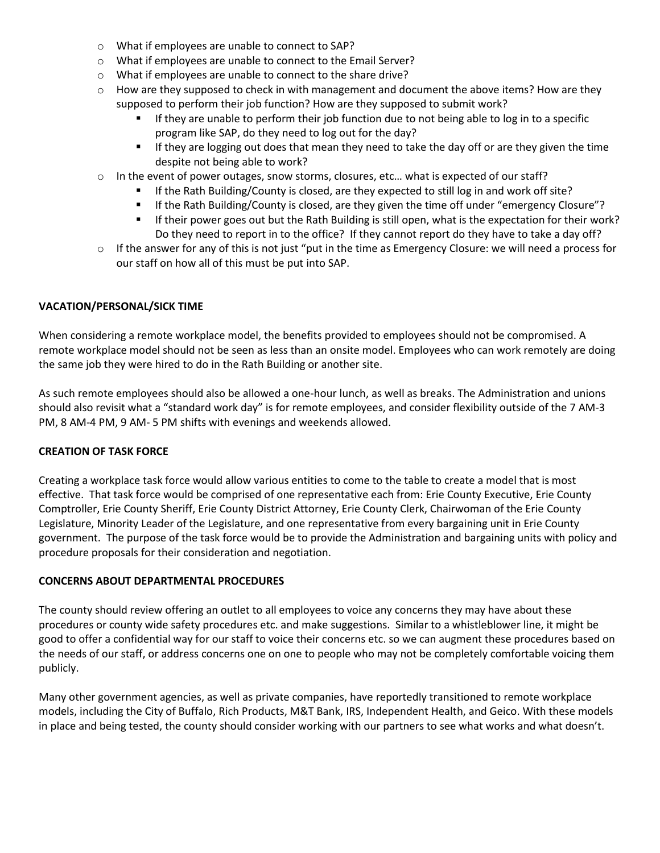- o What if employees are unable to connect to SAP?
- o What if employees are unable to connect to the Email Server?
- o What if employees are unable to connect to the share drive?
- $\circ$  How are they supposed to check in with management and document the above items? How are they supposed to perform their job function? How are they supposed to submit work?
	- **■** If they are unable to perform their job function due to not being able to log in to a specific program like SAP, do they need to log out for the day?
	- **■** If they are logging out does that mean they need to take the day off or are they given the time despite not being able to work?
- $\circ$  In the event of power outages, snow storms, closures, etc... what is expected of our staff?
	- If the Rath Building/County is closed, are they expected to still log in and work off site?
	- If the Rath Building/County is closed, are they given the time off under "emergency Closure"?
	- **■** If their power goes out but the Rath Building is still open, what is the expectation for their work? Do they need to report in to the office? If they cannot report do they have to take a day off?
- o If the answer for any of this is not just "put in the time as Emergency Closure: we will need a process for our staff on how all of this must be put into SAP.

### **VACATION/PERSONAL/SICK TIME**

When considering a remote workplace model, the benefits provided to employees should not be compromised. A remote workplace model should not be seen as less than an onsite model. Employees who can work remotely are doing the same job they were hired to do in the Rath Building or another site.

As such remote employees should also be allowed a one-hour lunch, as well as breaks. The Administration and unions should also revisit what a "standard work day" is for remote employees, and consider flexibility outside of the 7 AM-3 PM, 8 AM-4 PM, 9 AM- 5 PM shifts with evenings and weekends allowed.

#### **CREATION OF TASK FORCE**

Creating a workplace task force would allow various entities to come to the table to create a model that is most effective. That task force would be comprised of one representative each from: Erie County Executive, Erie County Comptroller, Erie County Sheriff, Erie County District Attorney, Erie County Clerk, Chairwoman of the Erie County Legislature, Minority Leader of the Legislature, and one representative from every bargaining unit in Erie County government. The purpose of the task force would be to provide the Administration and bargaining units with policy and procedure proposals for their consideration and negotiation.

#### **CONCERNS ABOUT DEPARTMENTAL PROCEDURES**

The county should review offering an outlet to all employees to voice any concerns they may have about these procedures or county wide safety procedures etc. and make suggestions. Similar to a whistleblower line, it might be good to offer a confidential way for our staff to voice their concerns etc. so we can augment these procedures based on the needs of our staff, or address concerns one on one to people who may not be completely comfortable voicing them publicly.

Many other government agencies, as well as private companies, have reportedly transitioned to remote workplace models, including the City of Buffalo, Rich Products, M&T Bank, IRS, Independent Health, and Geico. With these models in place and being tested, the county should consider working with our partners to see what works and what doesn't.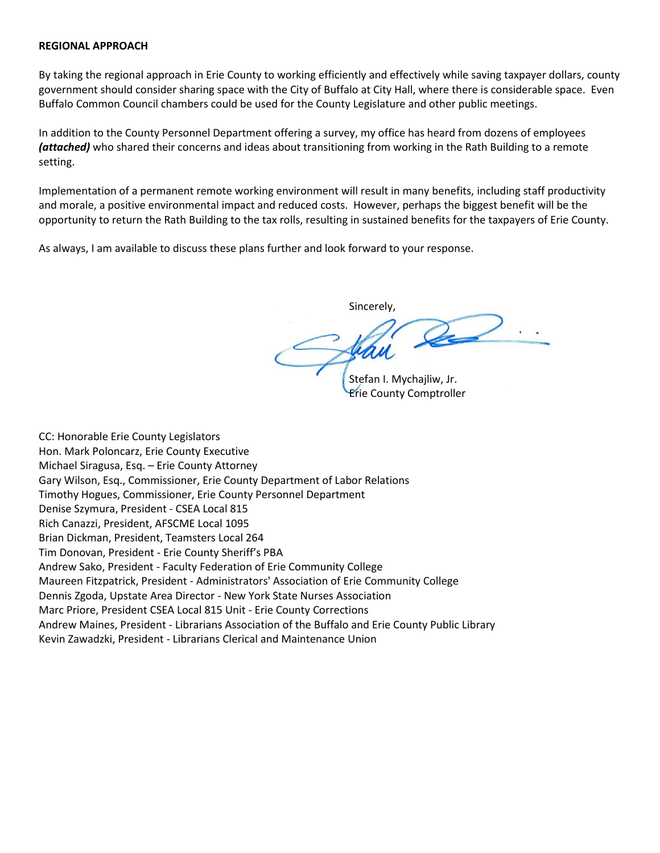#### **REGIONAL APPROACH**

By taking the regional approach in Erie County to working efficiently and effectively while saving taxpayer dollars, county government should consider sharing space with the City of Buffalo at City Hall, where there is considerable space. Even Buffalo Common Council chambers could be used for the County Legislature and other public meetings.

In addition to the County Personnel Department offering a survey, my office has heard from dozens of employees *(attached)* who shared their concerns and ideas about transitioning from working in the Rath Building to a remote setting.

Implementation of a permanent remote working environment will result in many benefits, including staff productivity and morale, a positive environmental impact and reduced costs. However, perhaps the biggest benefit will be the opportunity to return the Rath Building to the tax rolls, resulting in sustained benefits for the taxpayers of Erie County.

As always, I am available to discuss these plans further and look forward to your response.

Sincerely,

Stefan I. Mychajliw, Jr. Erie County Comptroller

CC: Honorable Erie County Legislators Hon. Mark Poloncarz, Erie County Executive Michael Siragusa, Esq. – Erie County Attorney Gary Wilson, Esq., Commissioner, Erie County Department of Labor Relations Timothy Hogues, Commissioner, Erie County Personnel Department Denise Szymura, President - CSEA Local 815 Rich Canazzi, President, AFSCME Local 1095 Brian Dickman, President, Teamsters Local 264 Tim Donovan, President - Erie County Sheriff's PBA Andrew Sako, President - Faculty Federation of Erie Community College Maureen Fitzpatrick, President - Administrators' Association of Erie Community College Dennis Zgoda, Upstate Area Director - New York State Nurses Association Marc Priore, President CSEA Local 815 Unit - Erie County Corrections Andrew Maines, President - Librarians Association of the Buffalo and Erie County Public Library Kevin Zawadzki, President - Librarians Clerical and Maintenance Union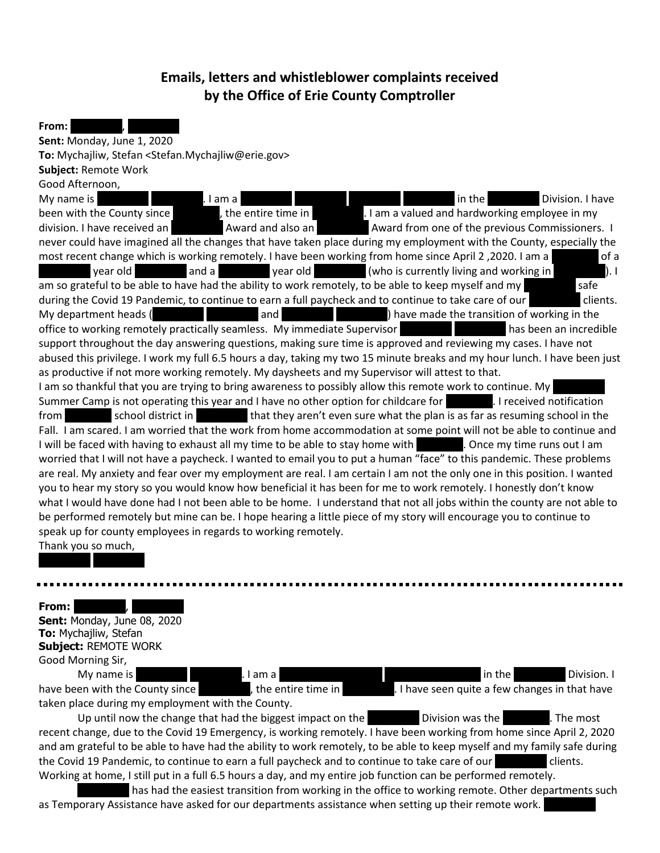# **Emails, letters and whistleblower complaints received by the Office of Erie County Comptroller**

**From: Sent:** Monday, June 1, 2020 **To:** Mychajliw, Stefan <Stefan.Mychajliw@erie.gov> **Subject:** Remote Work Good Afternoon, My name is REDACTED REDACTED. I am a REDACTED REDACTED REDACTED REDACTED REDACTED BY Division. I have been with the County since  $\blacksquare$ , the entire time in  $\blacksquare$ . I am a valued and hardworking employee in my division. I have received an **REDACTED Award and also an** REDACTED Award from one of the previous Commissioners. I never could have imagined all the changes that have taken place during my employment with the County, especially the most recent change which is working remotely. I have been working from home since April 2,2020. I am a a ReDACT year old a and a reduced year old (who is currently living and working in ReDACTED and a REDACTED year old am so grateful to be able to have had the ability to work remotely, to be able to keep myself and my during the Covid 19 Pandemic, to continue to earn a full paycheck and to continue to take care of our clients. My department heads (**REDACTED REDACTED REDACTED REDACTED** REDACTED REDACTED REDACTED REDACTED REDACTED REDACTED REDACTED **REDACTED** REDACTED REDACTED **REDACTED** and **REDACTED REDACTED REDACTED** and **REDACTED REDACTED** office to working remotely practically seamless. My immediate Supervisor has been an incredible support throughout the day answering questions, making sure time is approved and reviewing my cases. I have not abused this privilege. I work my full 6.5 hours a day, taking my two 15 minute breaks and my hour lunch. I have been just as productive if not more working remotely. My daysheets and my Supervisor will attest to that. I am so thankful that you are trying to bring awareness to possibly allow this remote work to continue. My Summer Camp is not operating this year and I have no other option for childcare for **REDACTED. I received notification** from school district in that they aren't even sure what the plan is as far as resuming school in the Fall. I am scared. I am worried that the work from home accommodation at some point will not be able to continue and I will be faced with having to exhaust all my time to be able to stay home with REDACTED. Once my time runs out I am worried that I will not have a paycheck. I wanted to email you to put a human "face" to this pandemic. These problems are real. My anxiety and fear over my employment are real. I am certain I am not the only one in this position. I wanted you to hear my story so you would know how beneficial it has been for me to work remotely. I honestly don't know what I would have done had I not been able to be home. I understand that not all jobs within the county are not able to be performed remotely but mine can be. I hope hearing a little piece of my story will encourage you to continue to

**From: Sent:** Monday, June 08, 2020 **To:** Mychajliw, Stefan **Subject:** REMOTE WORK

Thank you so much, REDACTED REDACTED

speak up for county employees in regards to working remotely.

Good Morning Sir, My name is **REDACTED REDACTED REDACTED**. I am a REDACTED REDACTED REDACTED BY In the REDACTED Division. I have been with the County since **REDACTED, the entire time in** REDACTED. I have seen quite a few changes in that have taken place during my employment with the County.

Up until now the change that had the biggest impact on the RedACD Division was the REDACTED Division was the R recent change, due to the Covid 19 Emergency, is working remotely. I have been working from home since April 2, 2020 and am grateful to be able to have had the ability to work remotely, to be able to keep myself and my family safe during the Covid 19 Pandemic, to continue to earn a full paycheck and to continue to take care of our clients. Working at home, I still put in a full 6.5 hours a day, and my entire job function can be performed remotely.

has had the easiest transition from working in the office to working remote. Other departments such as Temporary Assistance have asked for our departments assistance when setting up their remote work.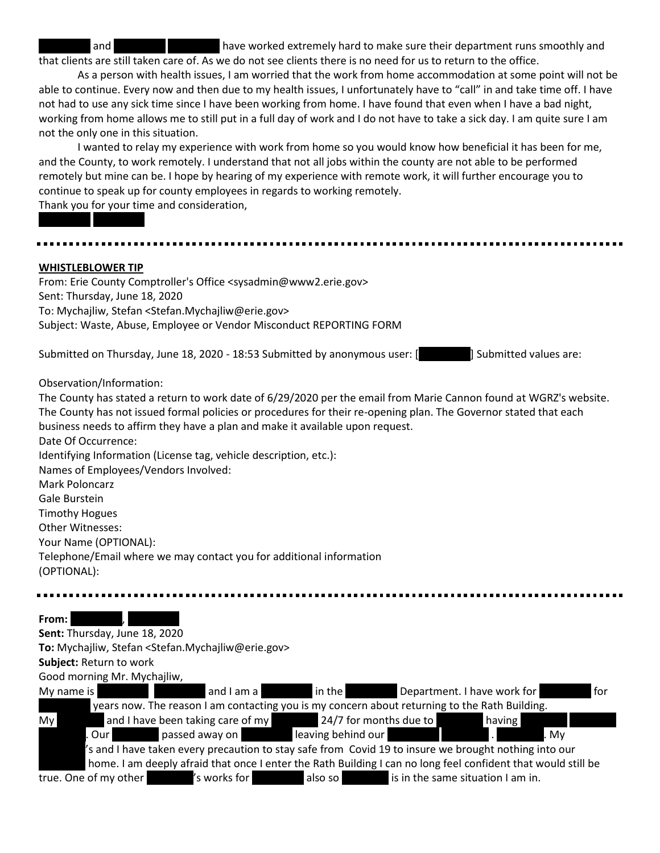and **REDACTED and REDACTED REDACTED REDACTED REDACT** have worked extremely hard to make sure their department runs smoothly and that clients are still taken care of. As we do not see clients there is no need for us to return to the office.

As a person with health issues, I am worried that the work from home accommodation at some point will not be able to continue. Every now and then due to my health issues, I unfortunately have to "call" in and take time off. I have not had to use any sick time since I have been working from home. I have found that even when I have a bad night, working from home allows me to still put in a full day of work and I do not have to take a sick day. I am quite sure I am not the only one in this situation.

I wanted to relay my experience with work from home so you would know how beneficial it has been for me, and the County, to work remotely. I understand that not all jobs within the county are not able to be performed remotely but mine can be. I hope by hearing of my experience with remote work, it will further encourage you to continue to speak up for county employees in regards to working remotely. Thank you for your time and consideration,

# **WHISTLEBLOWER TIP**

REDACTED REDACTED

From: Erie County Comptroller's Office <sysadmin@www2.erie.gov> Sent: Thursday, June 18, 2020 To: Mychajliw, Stefan <Stefan.Mychajliw@erie.gov> Subject: Waste, Abuse, Employee or Vendor Misconduct REPORTING FORM

Submitted on Thursday, June 18, 2020 - 18:53 Submitted by anonymous user: [Redach Lubmitted values are:

### Observation/Information:

The County has stated a return to work date of 6/29/2020 per the email from Marie Cannon found at WGRZ's website. The County has not issued formal policies or procedures for their re-opening plan. The Governor stated that each business needs to affirm they have a plan and make it available upon request. Date Of Occurrence:

Identifying Information (License tag, vehicle description, etc.):

Names of Employees/Vendors Involved:

Mark Poloncarz

Gale Burstein

Timothy Hogues

Other Witnesses:

Your Name (OPTIONAL):

Telephone/Email where we may contact you for additional information (OPTIONAL):

#### From: **REDACTED**, **REDACTED**

**Sent:** Thursday, June 18, 2020

**To:** Mychajliw, Stefan <Stefan.Mychajliw@erie.gov>

**Subject:** Return to work

Good morning Mr. Mychajliw,

| My name is |                       | and I am a                                                                                                    | in the                 |                                   | Department. I have work for | for |
|------------|-----------------------|---------------------------------------------------------------------------------------------------------------|------------------------|-----------------------------------|-----------------------------|-----|
|            |                       | years now. The reason I am contacting you is my concern about returning to the Rath Building.                 |                        |                                   |                             |     |
| My         |                       | and I have been taking care of my                                                                             | 24/7 for months due to |                                   | having                      |     |
|            | . Our l               | passed away on                                                                                                | leaving behind our     |                                   | l. Mv                       |     |
|            |                       | s and I have taken every precaution to stay safe from Covid 19 to insure we brought nothing into our          |                        |                                   |                             |     |
|            |                       | home. I am deeply afraid that once I enter the Rath Building I can no long feel confident that would still be |                        |                                   |                             |     |
|            | true. One of my other | s works for                                                                                                   | also so                | is in the same situation I am in. |                             |     |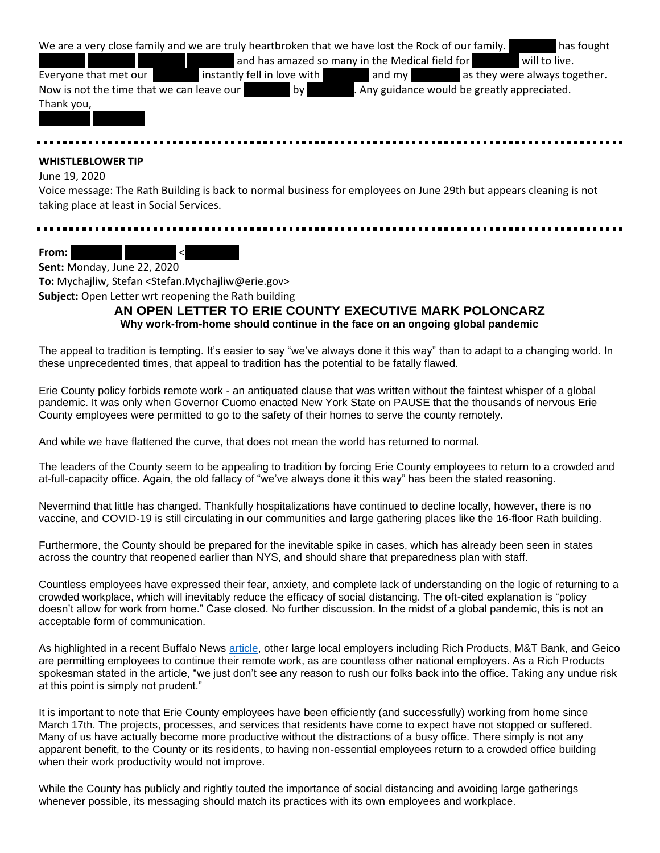|                                           | We are a very close family and we are truly heartbroken that we have lost the Rock of our family. |                                                 | has fought                    |
|-------------------------------------------|---------------------------------------------------------------------------------------------------|-------------------------------------------------|-------------------------------|
|                                           |                                                                                                   | and has amazed so many in the Medical field for | will to live.                 |
| Everyone that met our                     | instantly fell in love with                                                                       | and my                                          | as they were always together. |
| Now is not the time that we can leave our | by <sub>l</sub>                                                                                   | . Any guidance would be greatly appreciated.    |                               |
| Thank you,                                |                                                                                                   |                                                 |                               |
|                                           |                                                                                                   |                                                 |                               |
|                                           |                                                                                                   |                                                 |                               |

#### **WHISTLEBLOWER TIP**

#### June 19, 2020

Voice message: The Rath Building is back to normal business for employees on June 29th but appears cleaning is not taking place at least in Social Services.

From:  $\leq$ 

**Sent:** Monday, June 22, 2020 **To:** Mychajliw, Stefan <Stefan.Mychajliw@erie.gov> **Subject:** Open Letter wrt reopening the Rath building

# **AN OPEN LETTER TO ERIE COUNTY EXECUTIVE MARK POLONCARZ Why work-from-home should continue in the face on an ongoing global pandemic**

The appeal to tradition is tempting. It's easier to say "we've always done it this way" than to adapt to a changing world. In these unprecedented times, that appeal to tradition has the potential to be fatally flawed.

Erie County policy forbids remote work - an antiquated clause that was written without the faintest whisper of a global pandemic. It was only when Governor Cuomo enacted New York State on PAUSE that the thousands of nervous Erie County employees were permitted to go to the safety of their homes to serve the county remotely.

And while we have flattened the curve, that does not mean the world has returned to normal.

The leaders of the County seem to be appealing to tradition by forcing Erie County employees to return to a crowded and at-full-capacity office. Again, the old fallacy of "we've always done it this way" has been the stated reasoning.

Nevermind that little has changed. Thankfully hospitalizations have continued to decline locally, however, there is no vaccine, and COVID-19 is still circulating in our communities and large gathering places like the 16-floor Rath building.

Furthermore, the County should be prepared for the inevitable spike in cases, which has already been seen in states across the country that reopened earlier than NYS, and should share that preparedness plan with staff.

Countless employees have expressed their fear, anxiety, and complete lack of understanding on the logic of returning to a crowded workplace, which will inevitably reduce the efficacy of social distancing. The oft-cited explanation is "policy doesn't allow for work from home." Case closed. No further discussion. In the midst of a global pandemic, this is not an acceptable form of communication.

As highlighted in a recent Buffalo News [article,](https://buffalonews.com/2020/05/22/slow-and-steady-office-leaders-in-no-hurry-to-rush-back-to-work/) other large local employers including Rich Products, M&T Bank, and Geico are permitting employees to continue their remote work, as are countless other national employers. As a Rich Products spokesman stated in the article, "we just don't see any reason to rush our folks back into the office. Taking any undue risk at this point is simply not prudent."

It is important to note that Erie County employees have been efficiently (and successfully) working from home since March 17th. The projects, processes, and services that residents have come to expect have not stopped or suffered. Many of us have actually become more productive without the distractions of a busy office. There simply is not any apparent benefit, to the County or its residents, to having non-essential employees return to a crowded office building when their work productivity would not improve.

While the County has publicly and rightly touted the importance of social distancing and avoiding large gatherings whenever possible, its messaging should match its practices with its own employees and workplace.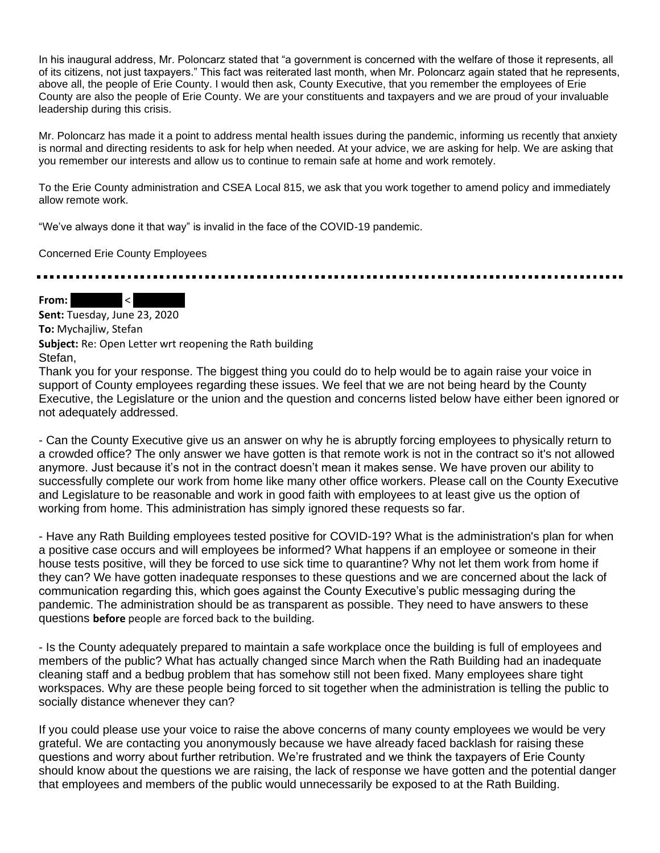In his inaugural address, Mr. Poloncarz stated that "a government is concerned with the welfare of those it represents, all of its citizens, not just taxpayers." This fact was reiterated last month, when Mr. Poloncarz again stated that he represents, above all, the people of Erie County. I would then ask, County Executive, that you remember the employees of Erie County are also the people of Erie County. We are your constituents and taxpayers and we are proud of your invaluable leadership during this crisis.

Mr. Poloncarz has made it a point to address mental health issues during the pandemic, informing us recently that anxiety is normal and directing residents to ask for help when needed. At your advice, we are asking for help. We are asking that you remember our interests and allow us to continue to remain safe at home and work remotely.

To the Erie County administration and CSEA Local 815, we ask that you work together to amend policy and immediately allow remote work.

"We've always done it that way" is invalid in the face of the COVID-19 pandemic.

Concerned Erie County Employees

From:  $\vert$  < Red

**Sent:** Tuesday, June 23, 2020 **To:** Mychajliw, Stefan **Subject:** Re: Open Letter wrt reopening the Rath building Stefan,

Thank you for your response. The biggest thing you could do to help would be to again raise your voice in support of County employees regarding these issues. We feel that we are not being heard by the County Executive, the Legislature or the union and the question and concerns listed below have either been ignored or not adequately addressed.

- Can the County Executive give us an answer on why he is abruptly forcing employees to physically return to a crowded office? The only answer we have gotten is that remote work is not in the contract so it's not allowed anymore. Just because it's not in the contract doesn't mean it makes sense. We have proven our ability to successfully complete our work from home like many other office workers. Please call on the County Executive and Legislature to be reasonable and work in good faith with employees to at least give us the option of working from home. This administration has simply ignored these requests so far.

- Have any Rath Building employees tested positive for COVID-19? What is the administration's plan for when a positive case occurs and will employees be informed? What happens if an employee or someone in their house tests positive, will they be forced to use sick time to quarantine? Why not let them work from home if they can? We have gotten inadequate responses to these questions and we are concerned about the lack of communication regarding this, which goes against the County Executive's public messaging during the pandemic. The administration should be as transparent as possible. They need to have answers to these questions **before** people are forced back to the building.

- Is the County adequately prepared to maintain a safe workplace once the building is full of employees and members of the public? What has actually changed since March when the Rath Building had an inadequate cleaning staff and a bedbug problem that has somehow still not been fixed. Many employees share tight workspaces. Why are these people being forced to sit together when the administration is telling the public to socially distance whenever they can?

If you could please use your voice to raise the above concerns of many county employees we would be very grateful. We are contacting you anonymously because we have already faced backlash for raising these questions and worry about further retribution. We're frustrated and we think the taxpayers of Erie County should know about the questions we are raising, the lack of response we have gotten and the potential danger that employees and members of the public would unnecessarily be exposed to at the Rath Building.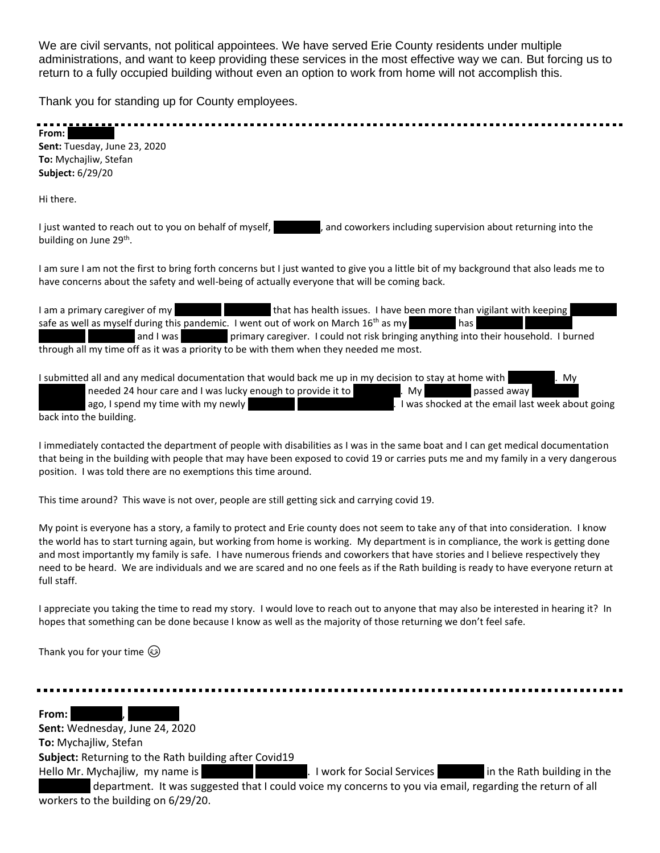We are civil servants, not political appointees. We have served Erie County residents under multiple administrations, and want to keep providing these services in the most effective way we can. But forcing us to return to a fully occupied building without even an option to work from home will not accomplish this.

Thank you for standing up for County employees.

| From: I                      |  |  |  |
|------------------------------|--|--|--|
| Sent: Tuesday, June 23, 2020 |  |  |  |
| To: Mychajliw, Stefan        |  |  |  |
| Subject: 6/29/20             |  |  |  |
| Hi there.                    |  |  |  |

I just wanted to reach out to you on behalf of myself, and coworkers including supervision about returning into the building on June 29<sup>th</sup>.

I am sure I am not the first to bring forth concerns but I just wanted to give you a little bit of my background that also leads me to have concerns about the safety and well-being of actually everyone that will be coming back.

| I am a primary caregiver of my | that has health issues. I have been more than vigilant with keeping                                  |
|--------------------------------|------------------------------------------------------------------------------------------------------|
|                                | safe as well as myself during this pandemic. I went out of work on March 16 <sup>th</sup> as my      |
|                                | and I was example imary caregiver. I could not risk bringing anything into their household. I burned |
|                                | through all my time off as it was a priority to be with them when they needed me most.               |

| I submitted all and any medical documentation that would back me up in my decision to stay at home with |                                          | Mv                                               |
|---------------------------------------------------------------------------------------------------------|------------------------------------------|--------------------------------------------------|
| needed 24 hour care and I was lucky enough to provide it to                                             | . My $\blacksquare$<br><b>STATISTICS</b> | passed away                                      |
| ago, I spend my time with my newly                                                                      |                                          | I was shocked at the email last week about going |
| back into the building.                                                                                 |                                          |                                                  |

I immediately contacted the department of people with disabilities as I was in the same boat and I can get medical documentation that being in the building with people that may have been exposed to covid 19 or carries puts me and my family in a very dangerous position. I was told there are no exemptions this time around.

This time around? This wave is not over, people are still getting sick and carrying covid 19.

My point is everyone has a story, a family to protect and Erie county does not seem to take any of that into consideration. I know the world has to start turning again, but working from home is working. My department is in compliance, the work is getting done and most importantly my family is safe. I have numerous friends and coworkers that have stories and I believe respectively they need to be heard. We are individuals and we are scared and no one feels as if the Rath building is ready to have everyone return at full staff.

I appreciate you taking the time to read my story. I would love to reach out to anyone that may also be interested in hearing it? In hopes that something can be done because I know as well as the majority of those returning we don't feel safe.

Thank you for your time  $\odot$ 

From: Redaction, Redaction, **Redaction**, **Red.** 

**Sent:** Wednesday, June 24, 2020 **To:** Mychajliw, Stefan **Subject:** Returning to the Rath building after Covid19 Hello Mr. Mychajliw, my name is **REDACTED REDACTED.** I work for Social Services **Redact Redact in the Rath building in the** 

department. It was suggested that I could voice my concerns to you via email, regarding the return of all workers to the building on 6/29/20.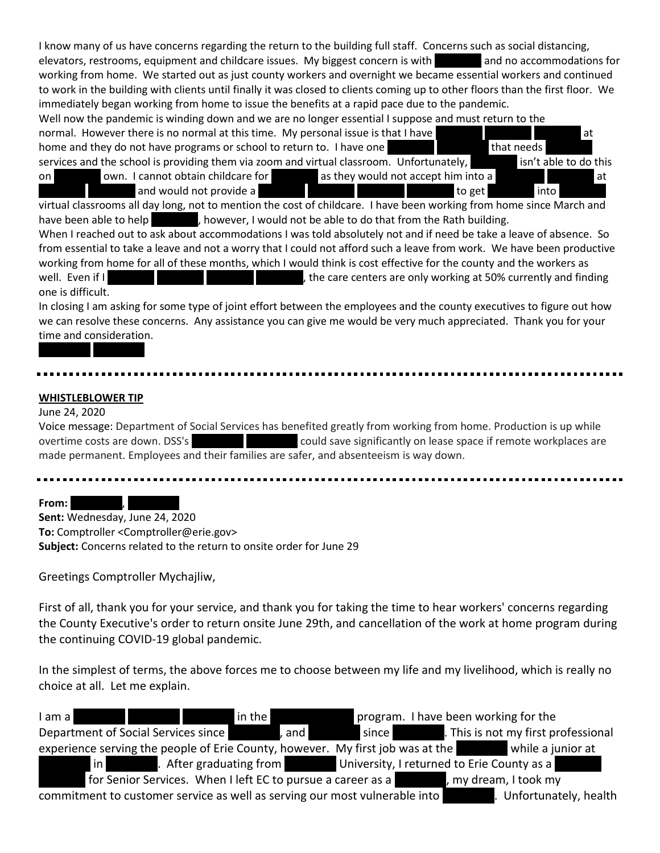I know many of us have concerns regarding the return to the building full staff. Concerns such as social distancing, elevators, restrooms, equipment and childcare issues. My biggest concern is with and no accommodations for working from home. We started out as just county workers and overnight we became essential workers and continued to work in the building with clients until finally it was closed to clients coming up to other floors than the first floor. We immediately began working from home to issue the benefits at a rapid pace due to the pandemic.

Well now the pandemic is winding down and we are no longer essential I suppose and must return to the normal. However there is no normal at this time. My personal issue is that I have REDACTED REDACTED REDACTED RE home and they do not have programs or school to return to. I have one **REDACTED REDACTED** that needs services and the school is providing them via zoom and virtual classroom. Unfortunately, in the school is providing them via zoom and virtual classroom. Unfortunately,

on and Dachted own. I cannot obtain childcare for Redaction as they would not accept him into a REDACTED REDACTED At and would not provide a REDACTED REDACTED REDACTED REDACTED REDACTED REDACTED REDACTED AT A REDACTED A REDACTED A REDACTED AND TO GET REDACTED A REDACTED A REDACTED A REDACTED AND INTO REDACTED A REDACTED A REDACTED A REDA

virtual classrooms all day long, not to mention the cost of childcare. I have been working from home since March and have been able to help **Repart Controlation**, however, I would not be able to do that from the Rath building.

When I reached out to ask about accommodations I was told absolutely not and if need be take a leave of absence. So from essential to take a leave and not a worry that I could not afford such a leave from work. We have been productive working from home for all of these months, which I would think is cost effective for the county and the workers as well. Even if I REDACTED REDACTED REDACTED REDACTION REDACTION REDACTION REDACTION REDACTION REDACTION REDACTION one is difficult.

In closing I am asking for some type of joint effort between the employees and the county executives to figure out how we can resolve these concerns. Any assistance you can give me would be very much appreciated. Thank you for your time and consideration.

# **WHISTLEBLOWER TIP**

REDACTED REDACTED

## June 24, 2020

Voice message: Department of Social Services has benefited greatly from working from home. Production is up while overtime costs are down. DSS's **REDACTED REDACTED REDACTED REDACTED REDACTS** could save significantly on lease space if remote workplaces are made permanent. Employees and their families are safer, and absenteeism is way down.

#### From:

**Sent:** Wednesday, June 24, 2020 **To:** Comptroller <Comptroller@erie.gov> **Subject:** Concerns related to the return to onsite order for June 29

Greetings Comptroller Mychajliw,

First of all, thank you for your service, and thank you for taking the time to hear workers' concerns regarding the County Executive's order to return onsite June 29th, and cancellation of the work at home program during the continuing COVID-19 global pandemic.

In the simplest of terms, the above forces me to choose between my life and my livelihood, which is really no choice at all. Let me explain.

| I am a                                                                                           |  | in the |       |                                                             |  | program. I have been working for the |  |
|--------------------------------------------------------------------------------------------------|--|--------|-------|-------------------------------------------------------------|--|--------------------------------------|--|
| Department of Social Services since                                                              |  |        | , and |                                                             |  |                                      |  |
| experience serving the people of Erie County, however. My first job was at the while a junior at |  |        |       |                                                             |  |                                      |  |
|                                                                                                  |  |        |       |                                                             |  |                                      |  |
|                                                                                                  |  |        |       | for Senior Services. When I left EC to pursue a career as a |  | my dream, I took my                  |  |
| commitment to customer service as well as serving our most vulnerable into                       |  |        |       |                                                             |  | Unfortunately, health                |  |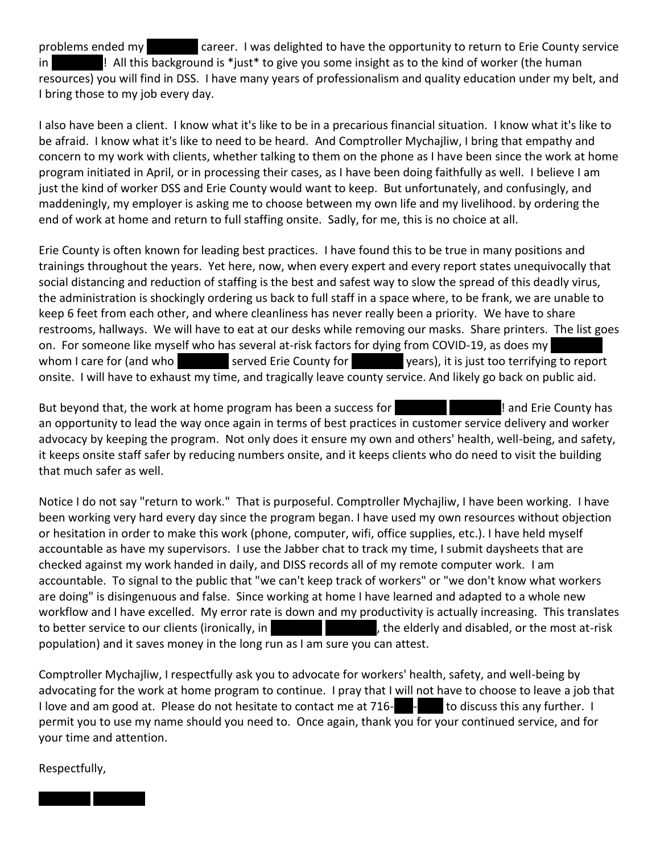problems ended my **REDACTED career. I was delighted to have the opportunity to return to Erie County service** in REDACTED In REDACTED II All this background is \*just\* to give you some insight as to the kind of worker (the human resources) you will find in DSS. I have many years of professionalism and quality education under my belt, and I bring those to my job every day.

I also have been a client. I know what it's like to be in a precarious financial situation. I know what it's like to be afraid. I know what it's like to need to be heard. And Comptroller Mychajliw, I bring that empathy and concern to my work with clients, whether talking to them on the phone as I have been since the work at home program initiated in April, or in processing their cases, as I have been doing faithfully as well. I believe I am just the kind of worker DSS and Erie County would want to keep. But unfortunately, and confusingly, and maddeningly, my employer is asking me to choose between my own life and my livelihood. by ordering the end of work at home and return to full staffing onsite. Sadly, for me, this is no choice at all.

Erie County is often known for leading best practices. I have found this to be true in many positions and trainings throughout the years. Yet here, now, when every expert and every report states unequivocally that social distancing and reduction of staffing is the best and safest way to slow the spread of this deadly virus, the administration is shockingly ordering us back to full staff in a space where, to be frank, we are unable to keep 6 feet from each other, and where cleanliness has never really been a priority. We have to share restrooms, hallways. We will have to eat at our desks while removing our masks. Share printers. The list goes on. For someone like myself who has several at-risk factors for dying from COVID-19, as does my whom I care for (and who REDACTED served Erie County for REDACTED years), it is just too terrifying to report onsite. I will have to exhaust my time, and tragically leave county service. And likely go back on public aid.

But beyond that, the work at home program has been a success for **REDACTED REDACTED** ! and Erie County has an opportunity to lead the way once again in terms of best practices in customer service delivery and worker advocacy by keeping the program. Not only does it ensure my own and others' health, well-being, and safety, it keeps onsite staff safer by reducing numbers onsite, and it keeps clients who do need to visit the building that much safer as well.

Notice I do not say "return to work." That is purposeful. Comptroller Mychajliw, I have been working. I have been working very hard every day since the program began. I have used my own resources without objection or hesitation in order to make this work (phone, computer, wifi, office supplies, etc.). I have held myself accountable as have my supervisors. I use the Jabber chat to track my time, I submit daysheets that are checked against my work handed in daily, and DISS records all of my remote computer work. I am accountable. To signal to the public that "we can't keep track of workers" or "we don't know what workers are doing" is disingenuous and false. Since working at home I have learned and adapted to a whole new workflow and I have excelled. My error rate is down and my productivity is actually increasing. This translates to better service to our clients (ironically, in REDACTED REDACTED, the elderly and disabled, or the most at-risk population) and it saves money in the long run as I am sure you can attest.

Comptroller Mychajliw, I respectfully ask you to advocate for workers' health, safety, and well-being by advocating for the work at home program to continue. I pray that I will not have to choose to leave a job that I love and am good at. Please do not hesitate to contact me at  $716 \blacksquare$  to discuss this any further. I permit you to use my name should you need to. Once again, thank you for your continued service, and for your time and attention.

Respectfully,

REDACTED REDACTED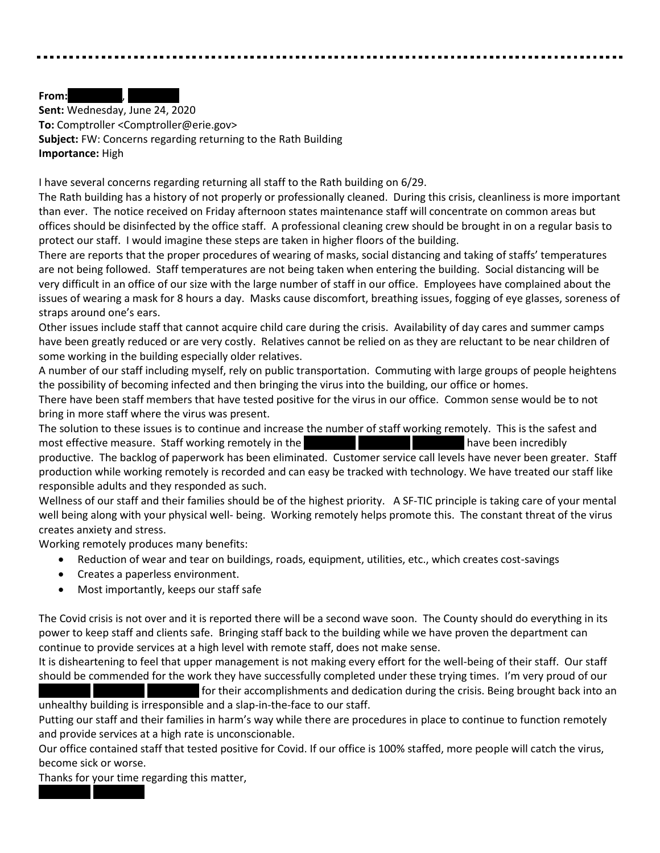#### **From:**

**Sent:** Wednesday, June 24, 2020 **To:** Comptroller <Comptroller@erie.gov> **Subject:** FW: Concerns regarding returning to the Rath Building **Importance:** High

I have several concerns regarding returning all staff to the Rath building on 6/29.

The Rath building has a history of not properly or professionally cleaned. During this crisis, cleanliness is more important than ever. The notice received on Friday afternoon states maintenance staff will concentrate on common areas but offices should be disinfected by the office staff. A professional cleaning crew should be brought in on a regular basis to protect our staff. I would imagine these steps are taken in higher floors of the building.

There are reports that the proper procedures of wearing of masks, social distancing and taking of staffs' temperatures are not being followed. Staff temperatures are not being taken when entering the building. Social distancing will be very difficult in an office of our size with the large number of staff in our office. Employees have complained about the issues of wearing a mask for 8 hours a day. Masks cause discomfort, breathing issues, fogging of eye glasses, soreness of straps around one's ears.

Other issues include staff that cannot acquire child care during the crisis. Availability of day cares and summer camps have been greatly reduced or are very costly. Relatives cannot be relied on as they are reluctant to be near children of some working in the building especially older relatives.

A number of our staff including myself, rely on public transportation. Commuting with large groups of people heightens the possibility of becoming infected and then bringing the virus into the building, our office or homes.

There have been staff members that have tested positive for the virus in our office. Common sense would be to not bring in more staff where the virus was present.

The solution to these issues is to continue and increase the number of staff working remotely. This is the safest and most effective measure. Staff working remotely in the REDACTED REDACTED REDACTED REDACTED have been incredibly productive. The backlog of paperwork has been eliminated. Customer service call levels have never been greater. Staff production while working remotely is recorded and can easy be tracked with technology. We have treated our staff like responsible adults and they responded as such.

Wellness of our staff and their families should be of the highest priority. A SF-TIC principle is taking care of your mental well being along with your physical well- being. Working remotely helps promote this. The constant threat of the virus creates anxiety and stress.

Working remotely produces many benefits:

- Reduction of wear and tear on buildings, roads, equipment, utilities, etc., which creates cost-savings
- Creates a paperless environment.
- Most importantly, keeps our staff safe

The Covid crisis is not over and it is reported there will be a second wave soon. The County should do everything in its power to keep staff and clients safe. Bringing staff back to the building while we have proven the department can continue to provide services at a high level with remote staff, does not make sense.

It is disheartening to feel that upper management is not making every effort for the well-being of their staff. Our staff should be commended for the work they have successfully completed under these trying times. I'm very proud of our

For their accomplishments and dedication during the crisis. Being brought back into an unhealthy building is irresponsible and a slap-in-the-face to our staff.

Putting our staff and their families in harm's way while there are procedures in place to continue to function remotely and provide services at a high rate is unconscionable.

Our office contained staff that tested positive for Covid. If our office is 100% staffed, more people will catch the virus, become sick or worse.

Thanks for your time regarding this matter,

REDACTED REDACTED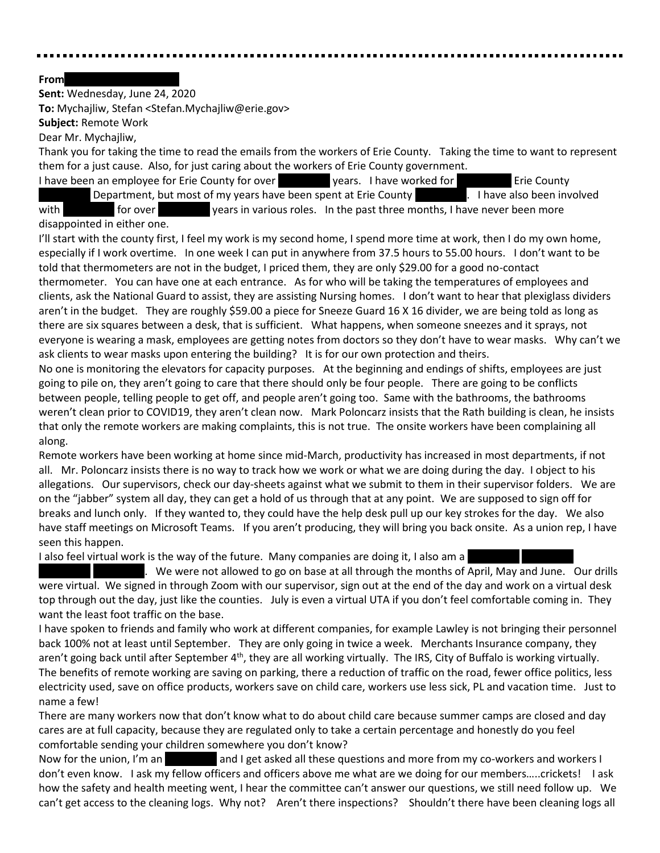### **From**

**Sent:** Wednesday, June 24, 2020

**To:** Mychajliw, Stefan <Stefan.Mychajliw@erie.gov>

**Subject:** Remote Work

Dear Mr. Mychajliw,

Thank you for taking the time to read the emails from the workers of Erie County. Taking the time to want to represent them for a just cause. Also, for just caring about the workers of Erie County government.

I have been an employee for Erie County for over **REDACTED vears.** I have worked for **REDACTED** Erie County Department, but most of my years have been spent at Erie County **REDACTED.** I have also been involved with for over vears in various roles. In the past three months, I have never been more

# disappointed in either one.

I'll start with the county first, I feel my work is my second home, I spend more time at work, then I do my own home, especially if I work overtime. In one week I can put in anywhere from 37.5 hours to 55.00 hours. I don't want to be told that thermometers are not in the budget, I priced them, they are only \$29.00 for a good no-contact thermometer. You can have one at each entrance. As for who will be taking the temperatures of employees and clients, ask the National Guard to assist, they are assisting Nursing homes. I don't want to hear that plexiglass dividers aren't in the budget. They are roughly \$59.00 a piece for Sneeze Guard 16 X 16 divider, we are being told as long as there are six squares between a desk, that is sufficient. What happens, when someone sneezes and it sprays, not everyone is wearing a mask, employees are getting notes from doctors so they don't have to wear masks. Why can't we ask clients to wear masks upon entering the building? It is for our own protection and theirs.

No one is monitoring the elevators for capacity purposes. At the beginning and endings of shifts, employees are just going to pile on, they aren't going to care that there should only be four people. There are going to be conflicts between people, telling people to get off, and people aren't going too. Same with the bathrooms, the bathrooms weren't clean prior to COVID19, they aren't clean now. Mark Poloncarz insists that the Rath building is clean, he insists that only the remote workers are making complaints, this is not true. The onsite workers have been complaining all along.

Remote workers have been working at home since mid-March, productivity has increased in most departments, if not all. Mr. Poloncarz insists there is no way to track how we work or what we are doing during the day. I object to his allegations. Our supervisors, check our day-sheets against what we submit to them in their supervisor folders. We are on the "jabber" system all day, they can get a hold of us through that at any point. We are supposed to sign off for breaks and lunch only. If they wanted to, they could have the help desk pull up our key strokes for the day. We also have staff meetings on Microsoft Teams. If you aren't producing, they will bring you back onsite. As a union rep, I have seen this happen.

I also feel virtual work is the way of the future. Many companies are doing it, I also am a

 $R$ . We were not allowed to go on base at all through the months of April, May and June. Our drills were virtual. We signed in through Zoom with our supervisor, sign out at the end of the day and work on a virtual desk top through out the day, just like the counties. July is even a virtual UTA if you don't feel comfortable coming in. They want the least foot traffic on the base.

I have spoken to friends and family who work at different companies, for example Lawley is not bringing their personnel back 100% not at least until September. They are only going in twice a week. Merchants Insurance company, they aren't going back until after September  $4<sup>th</sup>$ , they are all working virtually. The IRS, City of Buffalo is working virtually. The benefits of remote working are saving on parking, there a reduction of traffic on the road, fewer office politics, less electricity used, save on office products, workers save on child care, workers use less sick, PL and vacation time. Just to name a few!

There are many workers now that don't know what to do about child care because summer camps are closed and day cares are at full capacity, because they are regulated only to take a certain percentage and honestly do you feel comfortable sending your children somewhere you don't know?

Now for the union, I'm an Redacted and I get asked all these questions and more from my co-workers and workers I don't even know. I ask my fellow officers and officers above me what are we doing for our members…..crickets! I ask how the safety and health meeting went, I hear the committee can't answer our questions, we still need follow up. We can't get access to the cleaning logs. Why not? Aren't there inspections? Shouldn't there have been cleaning logs all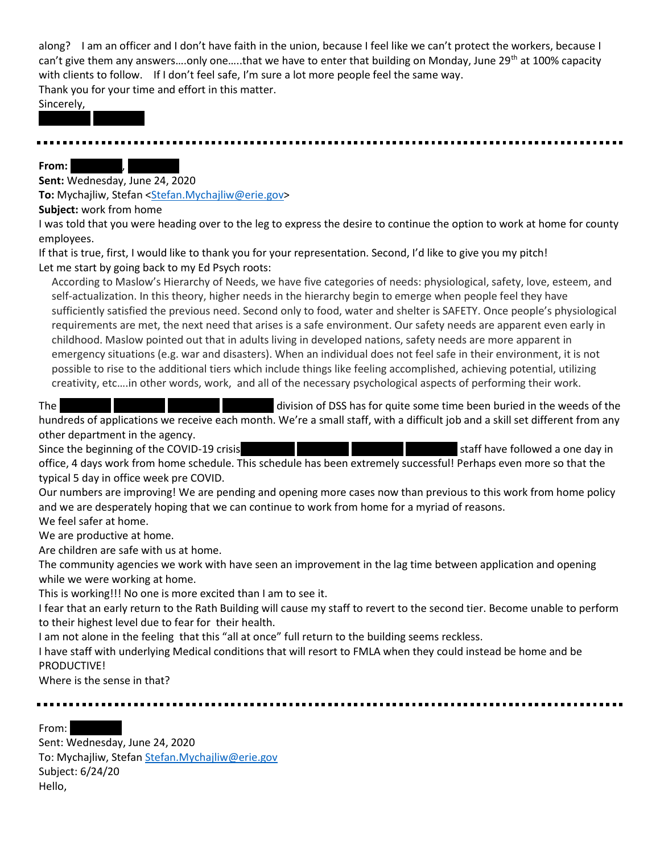along? I am an officer and I don't have faith in the union, because I feel like we can't protect the workers, because I can't give them any answers....only one.....that we have to enter that building on Monday, June 29<sup>th</sup> at 100% capacity with clients to follow. If I don't feel safe, I'm sure a lot more people feel the same way. Thank you for your time and effort in this matter.

Sincerely,

REDACTED REDACTED

**From:** 

**Sent:** Wednesday, June 24, 2020 **To:** Mychajliw, Stefan [<Stefan.Mychajliw@erie.gov>](mailto:Stefan.Mychajliw@erie.gov)

**Subject:** work from home

I was told that you were heading over to the leg to express the desire to continue the option to work at home for county employees.

If that is true, first, I would like to thank you for your representation. Second, I'd like to give you my pitch! Let me start by going back to my Ed Psych roots:

According to Maslow's Hierarchy of Needs, we have five categories of needs: physiological, safety, love, esteem, and self-actualization. In this theory, higher needs in the hierarchy begin to emerge when people feel they have sufficiently satisfied the previous need. Second only to food, water and shelter is SAFETY. Once people's physiological requirements are met, the next need that arises is a safe environment. Our safety needs are apparent even early in childhood. Maslow pointed out that in adults living in developed nations, safety needs are more apparent in emergency situations (e.g. war and disasters). When an individual does not feel safe in their environment, it is not possible to rise to the additional tiers which include things like feeling accomplished, achieving potential, utilizing creativity, etc….in other words, work, and all of the necessary psychological aspects of performing their work.

The REDACTED REDACTED REDACTED REDACTION REDACTION REDACTION REDACTION REDACTION REDACTION OF DSS has for quite some time been buried in the weeds of the hundreds of applications we receive each month. We're a small staff, with a difficult job and a skill set different from any other department in the agency.

Since the beginning of the COVID-19 crisis REDACTED REDACTED REDACTED REDACTION Staff have followed a one day in office, 4 days work from home schedule. This schedule has been extremely successful! Perhaps even more so that the typical 5 day in office week pre COVID.

Our numbers are improving! We are pending and opening more cases now than previous to this work from home policy and we are desperately hoping that we can continue to work from home for a myriad of reasons. We feel safer at home.

We are productive at home.

Are children are safe with us at home.

The community agencies we work with have seen an improvement in the lag time between application and opening while we were working at home.

This is working!!! No one is more excited than I am to see it.

I fear that an early return to the Rath Building will cause my staff to revert to the second tier. Become unable to perform to their highest level due to fear for their health.

I am not alone in the feeling that this "all at once" full return to the building seems reckless.

I have staff with underlying Medical conditions that will resort to FMLA when they could instead be home and be **PRODUCTIVE!** 

Where is the sense in that?

From:

Sent: Wednesday, June 24, 2020 To: Mychajliw, Stefa[n Stefan.Mychajliw@erie.gov](mailto:Stefan.Mychajliw@erie.gov) Subject: 6/24/20 Hello,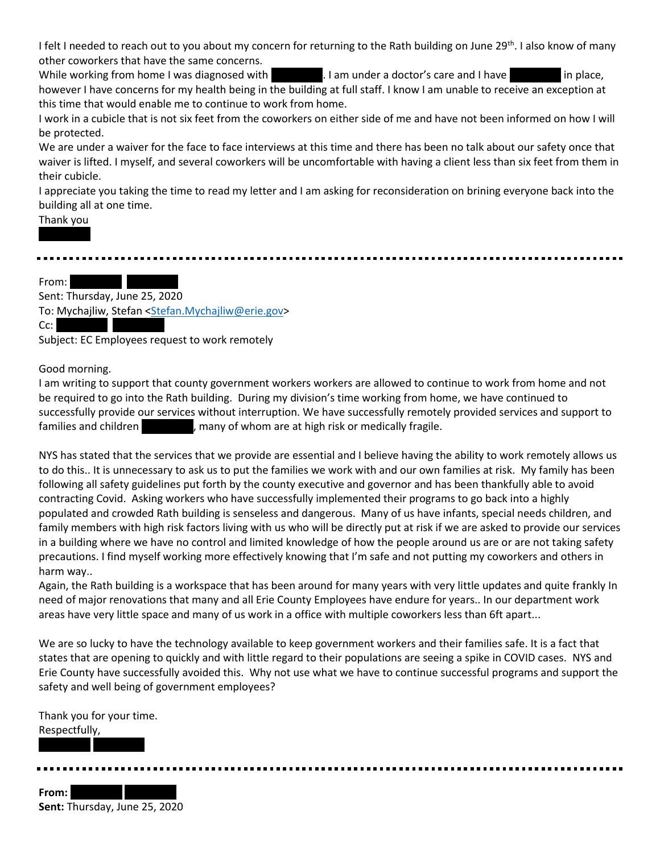I felt I needed to reach out to you about my concern for returning to the Rath building on June 29<sup>th</sup>. I also know of many other coworkers that have the same concerns.

While working from home I was diagnosed with REDACTED. I am under a doctor's care and I have REDACTED in place, however I have concerns for my health being in the building at full staff. I know I am unable to receive an exception at this time that would enable me to continue to work from home.

I work in a cubicle that is not six feet from the coworkers on either side of me and have not been informed on how I will be protected.

We are under a waiver for the face to face interviews at this time and there has been no talk about our safety once that waiver is lifted. I myself, and several coworkers will be uncomfortable with having a client less than six feet from them in their cubicle.

I appreciate you taking the time to read my letter and I am asking for reconsideration on brining everyone back into the building all at one time.

# Thank you

From: Redaction Redaction Research

Sent: Thursday, June 25, 2020 To: Mychajliw, Stefan [<Stefan.Mychajliw@erie.gov>](mailto:Stefan.Mychajliw@erie.gov) Cc:

Subject: EC Employees request to work remotely

# Good morning.

I am writing to support that county government workers workers are allowed to continue to work from home and not be required to go into the Rath building. During my division's time working from home, we have continued to successfully provide our services without interruption. We have successfully remotely provided services and support to families and children **Repart Common Act in Act is a medically fragile.** Fragile.

NYS has stated that the services that we provide are essential and I believe having the ability to work remotely allows us to do this.. It is unnecessary to ask us to put the families we work with and our own families at risk. My family has been following all safety guidelines put forth by the county executive and governor and has been thankfully able to avoid contracting Covid. Asking workers who have successfully implemented their programs to go back into a highly populated and crowded Rath building is senseless and dangerous. Many of us have infants, special needs children, and family members with high risk factors living with us who will be directly put at risk if we are asked to provide our services in a building where we have no control and limited knowledge of how the people around us are or are not taking safety precautions. I find myself working more effectively knowing that I'm safe and not putting my coworkers and others in harm way..

Again, the Rath building is a workspace that has been around for many years with very little updates and quite frankly In need of major renovations that many and all Erie County Employees have endure for years.. In our department work areas have very little space and many of us work in a office with multiple coworkers less than 6ft apart...

We are so lucky to have the technology available to keep government workers and their families safe. It is a fact that states that are opening to quickly and with little regard to their populations are seeing a spike in COVID cases. NYS and Erie County have successfully avoided this. Why not use what we have to continue successful programs and support the safety and well being of government employees?

Thank you for your time. Respectfully, REDACTED REDACTED

From: **Sent:** Thursday, June 25, 2020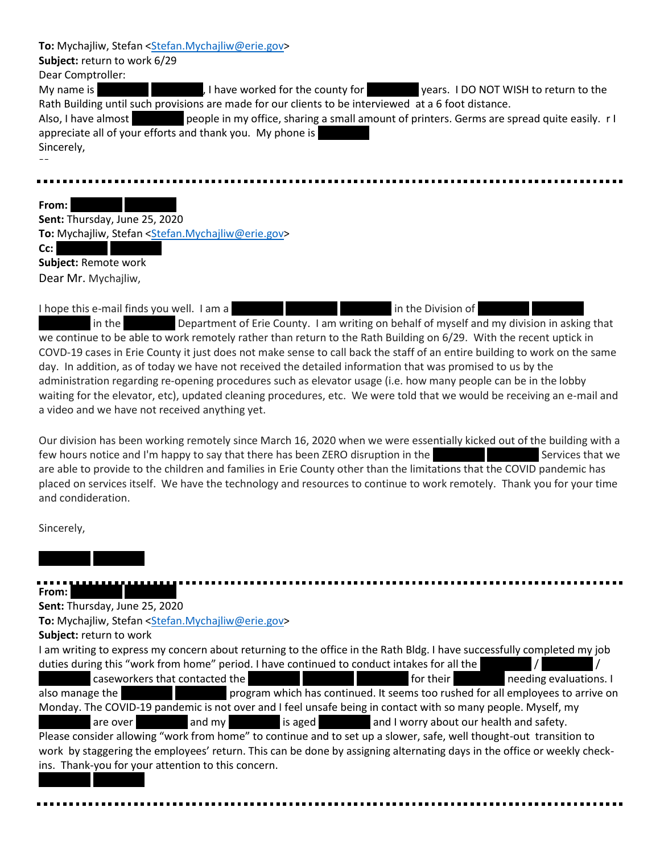| To: Mychajliw, Stefan <stefan.mychajliw@erie.gov></stefan.mychajliw@erie.gov>                                      |
|--------------------------------------------------------------------------------------------------------------------|
| Subject: return to work 6/29                                                                                       |
| Dear Comptroller:                                                                                                  |
| My name is<br>, I have worked for the county for years. I DO NOT WISH to return to the                             |
| Rath Building until such provisions are made for our clients to be interviewed at a 6 foot distance.               |
| people in my office, sharing a small amount of printers. Germs are spread quite easily. r I<br>Also, I have almost |
| appreciate all of your efforts and thank you. My phone is                                                          |
| Sincerely,                                                                                                         |
|                                                                                                                    |
|                                                                                                                    |
|                                                                                                                    |
| From:                                                                                                              |
| Sent: Thursday, June 25, 2020                                                                                      |
| To: Mychajliw, Stefan <stefan.mychajliw@erie.gov></stefan.mychajliw@erie.gov>                                      |
| Cc:                                                                                                                |
| Subject: Remote work                                                                                               |
| Dear Mr. Mychajliw,                                                                                                |
|                                                                                                                    |

I hope this e-mail finds you well. I am a REDACTED REDACTED REDACTED REDACTION In the Division of

in the **Redact Department of Erie County.** I am writing on behalf of myself and my division in asking that we continue to be able to work remotely rather than return to the Rath Building on 6/29. With the recent uptick in COVD-19 cases in Erie County it just does not make sense to call back the staff of an entire building to work on the same day. In addition, as of today we have not received the detailed information that was promised to us by the administration regarding re-opening procedures such as elevator usage (i.e. how many people can be in the lobby waiting for the elevator, etc), updated cleaning procedures, etc. We were told that we would be receiving an e-mail and a video and we have not received anything yet.

Our division has been working remotely since March 16, 2020 when we were essentially kicked out of the building with a few hours notice and I'm happy to say that there has been ZERO disruption in the ReDACTED Services that we are able to provide to the children and families in Erie County other than the limitations that the COVID pandemic has placed on services itself. We have the technology and resources to continue to work remotely. Thank you for your time and condideration.

Sincerely,

# From: **Redaction**

REDACTED REDACTED

**Sent:** Thursday, June 25, 2020

**To:** Mychajliw, Stefan [<Stefan.Mychajliw@erie.gov>](mailto:Stefan.Mychajliw@erie.gov)

**Subject:** return to work

REDACTED REDACTED

I am writing to express my concern about returning to the office in the Rath Bldg. I have successfully completed my job duties during this "work from home" period. I have continued to conduct intakes for all the REDACTED CASEWORKERS that contacted the REDACTED REDACTED REDACTED REDACTED REDACTED FOR THE DACTED TO A REDACTED REDACTED AT A REDACTED ASSAULT ON A REDACTED ASSAULT ON A REDACTED ASSAULT ON A REDACTION OF THE DACTED ASSA also manage the **REDACTED REDACTED Program which has continued. It seems too rushed for all employees to arrive on** Monday. The COVID-19 pandemic is not over and I feel unsafe being in contact with so many people. Myself, my are over and my redacted is aged and I worry about our health and safety. Please consider allowing "work from home" to continue and to set up a slower, safe, well thought-out transition to work by staggering the employees' return. This can be done by assigning alternating days in the office or weekly checkins. Thank-you for your attention to this concern.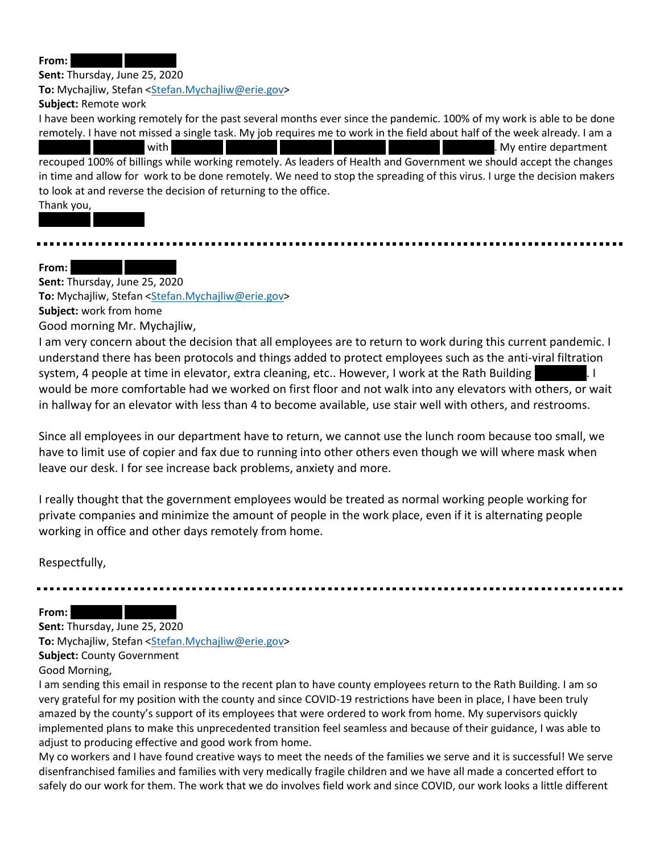**From:** 

**Sent:** Thursday, June 25, 2020 **To:** Mychajliw, Stefan [<Stefan.Mychajliw@erie.gov>](mailto:Stefan.Mychajliw@erie.gov) **Subject:** Remote work

I have been working remotely for the past several months ever since the pandemic. 100% of my work is able to be done remotely. I have not missed a single task. My job requires me to work in the field about half of the week already. I am a REDACTED REDACTED REDACTED REDACTED REDACTED REDACTED REDACTED REDACTED REDACTED REDACTED. My entire department recouped 100% of billings while working remotely. As leaders of Health and Government we should accept the changes in time and allow for work to be done remotely. We need to stop the spreading of this virus. I urge the decision makers to look at and reverse the decision of returning to the office.

Thank you,

From:

**Sent:** Thursday, June 25, 2020

REDACTED REDACTED

To: Mychajliw, Stefan [<Stefan.Mychajliw@erie.gov>](mailto:Stefan.Mychajliw@erie.gov)

**Subject:** work from home

Good morning Mr. Mychajliw,

I am very concern about the decision that all employees are to return to work during this current pandemic. I understand there has been protocols and things added to protect employees such as the anti-viral filtration system, 4 people at time in elevator, extra cleaning, etc.. However, I work at the Rath Building Reparts 1. I would be more comfortable had we worked on first floor and not walk into any elevators with others, or wait in hallway for an elevator with less than 4 to become available, use stair well with others, and restrooms.

Since all employees in our department have to return, we cannot use the lunch room because too small, we have to limit use of copier and fax due to running into other others even though we will where mask when leave our desk. I for see increase back problems, anxiety and more.

I really thought that the government employees would be treated as normal working people working for private companies and minimize the amount of people in the work place, even if it is alternating people working in office and other days remotely from home.

Respectfully,

From: **Sent:** Thursday, June 25, 2020 **To:** Mychajliw, Stefan [<Stefan.Mychajliw@erie.gov>](mailto:Stefan.Mychajliw@erie.gov) **Subject:** County Government

Good Morning,

I am sending this email in response to the recent plan to have county employees return to the Rath Building. I am so very grateful for my position with the county and since COVID-19 restrictions have been in place, I have been truly amazed by the county's support of its employees that were ordered to work from home. My supervisors quickly implemented plans to make this unprecedented transition feel seamless and because of their guidance, I was able to adjust to producing effective and good work from home.

My co workers and I have found creative ways to meet the needs of the families we serve and it is successful! We serve disenfranchised families and families with very medically fragile children and we have all made a concerted effort to safely do our work for them. The work that we do involves field work and since COVID, our work looks a little different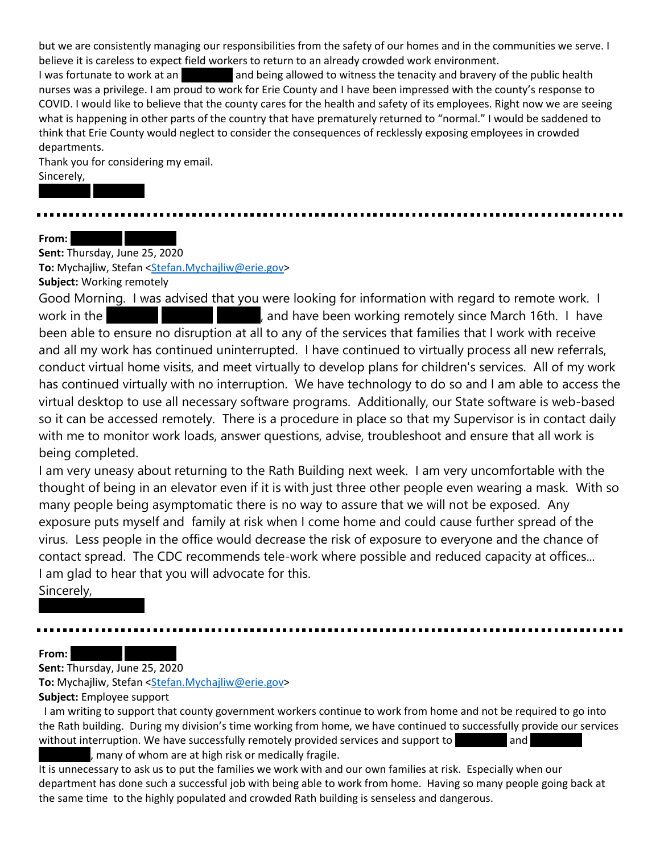but we are consistently managing our responsibilities from the safety of our homes and in the communities we serve. I believe it is careless to expect field workers to return to an already crowded work environment.

I was fortunate to work at an **REDACTED and being allowed to witness the tenacity and bravery of the public health** nurses was a privilege. I am proud to work for Erie County and I have been impressed with the county's response to COVID. I would like to believe that the county cares for the health and safety of its employees. Right now we are seeing what is happening in other parts of the country that have prematurely returned to "normal." I would be saddened to think that Erie County would neglect to consider the consequences of recklessly exposing employees in crowded departments.

Thank you for considering my email. Sincerely,

**From:** 

**Sent:** Thursday, June 25, 2020

REDACTED REDACTED

**To:** Mychajliw, Stefan [<Stefan.Mychajliw@erie.gov>](mailto:Stefan.Mychajliw@erie.gov)

**Subject:** Working remotely

Good Morning. I was advised that you were looking for information with regard to remote work. I work in the **REDACTED REDACTED REDACTED** Repair and have been working remotely since March 16th. I have been able to ensure no disruption at all to any of the services that families that I work with receive and all my work has continued uninterrupted. I have continued to virtually process all new referrals, conduct virtual home visits, and meet virtually to develop plans for children's services. All of my work has continued virtually with no interruption. We have technology to do so and I am able to access the virtual desktop to use all necessary software programs. Additionally, our State software is web-based so it can be accessed remotely. There is a procedure in place so that my Supervisor is in contact daily with me to monitor work loads, answer questions, advise, troubleshoot and ensure that all work is being completed.

I am very uneasy about returning to the Rath Building next week. I am very uncomfortable with the thought of being in an elevator even if it is with just three other people even wearing a mask. With so many people being asymptomatic there is no way to assure that we will not be exposed. Any exposure puts myself and family at risk when I come home and could cause further spread of the virus. Less people in the office would decrease the risk of exposure to everyone and the chance of contact spread. The CDC recommends tele-work where possible and reduced capacity at offices... I am glad to hear that you will advocate for this.

Sincerely,

**From:** 

**Sent:** Thursday, June 25, 2020

REDACTED REDACTED

**To:** Mychajliw, Stefan [<Stefan.Mychajliw@erie.gov>](mailto:Stefan.Mychajliw@erie.gov)

**Subject:** Employee support

I am writing to support that county government workers continue to work from home and not be required to go into the Rath building. During my division's time working from home, we have continued to successfully provide our services without interruption. We have successfully remotely provided services and support to REDACTED and

, many of whom are at high risk or medically fragile.

It is unnecessary to ask us to put the families we work with and our own families at risk. Especially when our department has done such a successful job with being able to work from home. Having so many people going back at the same time to the highly populated and crowded Rath building is senseless and dangerous.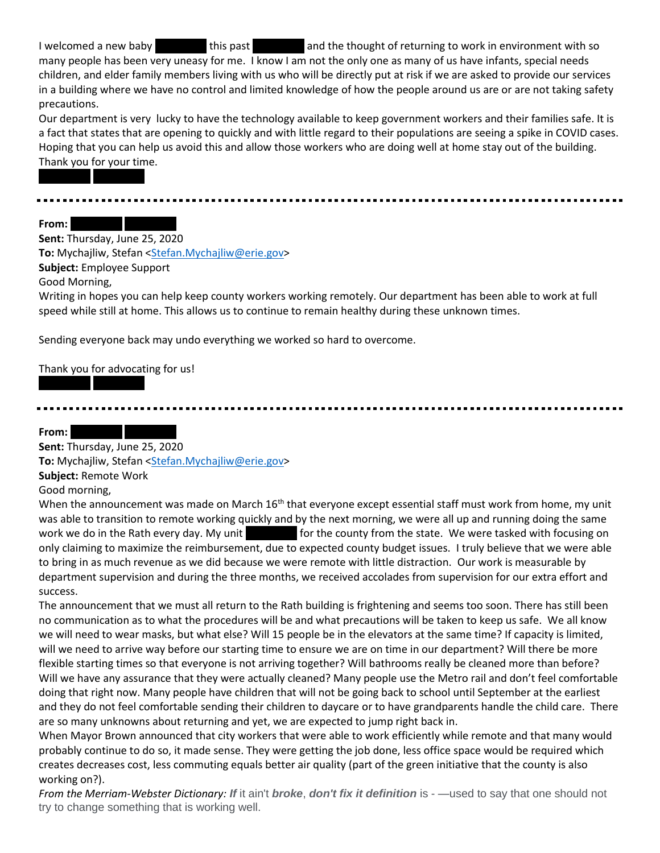I welcomed a new baby **REDACTED this past REDACTED and the thought of returning to work in environment with so** many people has been very uneasy for me. I know I am not the only one as many of us have infants, special needs children, and elder family members living with us who will be directly put at risk if we are asked to provide our services in a building where we have no control and limited knowledge of how the people around us are or are not taking safety precautions.

Our department is very lucky to have the technology available to keep government workers and their families safe. It is a fact that states that are opening to quickly and with little regard to their populations are seeing a spike in COVID cases. Hoping that you can help us avoid this and allow those workers who are doing well at home stay out of the building. Thank you for your time.

From: New Redaction Research

REDACTED REDACTED

**Sent:** Thursday, June 25, 2020 To: Mychajliw, Stefan [<Stefan.Mychajliw@erie.gov>](mailto:Stefan.Mychajliw@erie.gov) **Subject:** Employee Support

Good Morning,

Writing in hopes you can help keep county workers working remotely. Our department has been able to work at full speed while still at home. This allows us to continue to remain healthy during these unknown times.

Sending everyone back may undo everything we worked so hard to overcome.

Thank you for advocating for us!

REDACTED REDACTED

From: **REDACTED** 

**Sent:** Thursday, June 25, 2020 To: Mychajliw, Stefan [<Stefan.Mychajliw@erie.gov>](mailto:Stefan.Mychajliw@erie.gov) **Subject:** Remote Work Good morning,

When the announcement was made on March 16<sup>th</sup> that everyone except essential staff must work from home, my unit was able to transition to remote working quickly and by the next morning, we were all up and running doing the same work we do in the Rath every day. My unit for the county from the state. We were tasked with focusing on only claiming to maximize the reimbursement, due to expected county budget issues. I truly believe that we were able to bring in as much revenue as we did because we were remote with little distraction. Our work is measurable by department supervision and during the three months, we received accolades from supervision for our extra effort and success.

The announcement that we must all return to the Rath building is frightening and seems too soon. There has still been no communication as to what the procedures will be and what precautions will be taken to keep us safe. We all know we will need to wear masks, but what else? Will 15 people be in the elevators at the same time? If capacity is limited, will we need to arrive way before our starting time to ensure we are on time in our department? Will there be more flexible starting times so that everyone is not arriving together? Will bathrooms really be cleaned more than before? Will we have any assurance that they were actually cleaned? Many people use the Metro rail and don't feel comfortable doing that right now. Many people have children that will not be going back to school until September at the earliest and they do not feel comfortable sending their children to daycare or to have grandparents handle the child care. There are so many unknowns about returning and yet, we are expected to jump right back in.

When Mayor Brown announced that city workers that were able to work efficiently while remote and that many would probably continue to do so, it made sense. They were getting the job done, less office space would be required which creates decreases cost, less commuting equals better air quality (part of the green initiative that the county is also working on?).

*From the Merriam-Webster Dictionary: If* it ain't *broke*, *don't fix it definition* is - —used to say that one should not try to change something that is working well.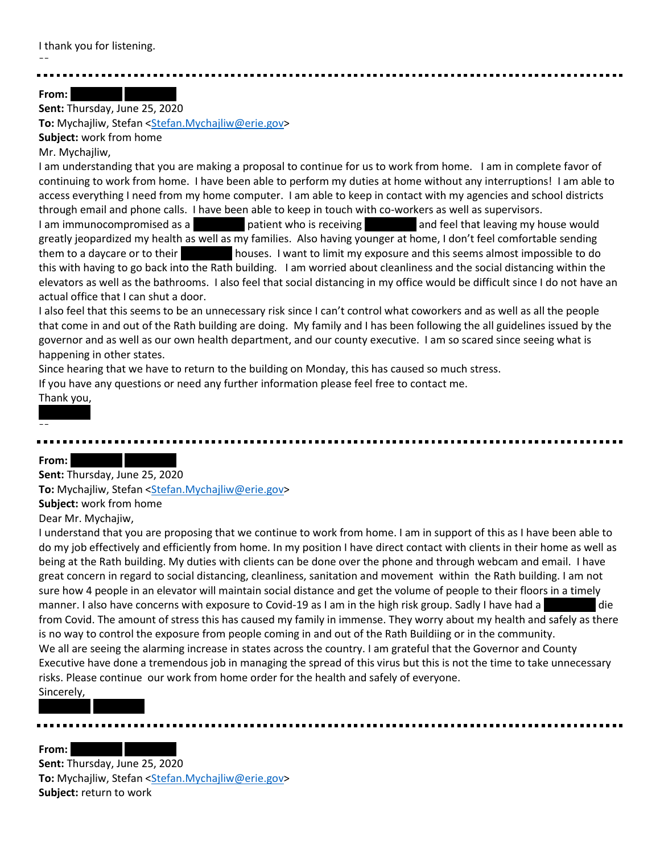I thank you for listening.

From:

**Sent:** Thursday, June 25, 2020 To: Mychajliw, Stefan [<Stefan.Mychajliw@erie.gov>](mailto:Stefan.Mychajliw@erie.gov) **Subject:** work from home

Mr. Mychajliw,

I am understanding that you are making a proposal to continue for us to work from home. I am in complete favor of continuing to work from home. I have been able to perform my duties at home without any interruptions! I am able to access everything I need from my home computer. I am able to keep in contact with my agencies and school districts through email and phone calls. I have been able to keep in touch with co-workers as well as supervisors.

I am immunocompromised as a REDACTED patient who is receiving REDACTED and feel that leaving my house would greatly jeopardized my health as well as my families. Also having younger at home, I don't feel comfortable sending them to a daycare or to their houses. I want to limit my exposure and this seems almost impossible to do this with having to go back into the Rath building. I am worried about cleanliness and the social distancing within the elevators as well as the bathrooms. I also feel that social distancing in my office would be difficult since I do not have an actual office that I can shut a door.

I also feel that this seems to be an unnecessary risk since I can't control what coworkers and as well as all the people that come in and out of the Rath building are doing. My family and I has been following the all guidelines issued by the governor and as well as our own health department, and our county executive. I am so scared since seeing what is happening in other states.

Since hearing that we have to return to the building on Monday, this has caused so much stress.

If you have any questions or need any further information please feel free to contact me.

# Thank you,

# From:

--

**Sent:** Thursday, June 25, 2020 **To:** Mychajliw, Stefan [<Stefan.Mychajliw@erie.gov>](mailto:Stefan.Mychajliw@erie.gov) **Subject:** work from home Dear Mr. Mychajiw,

I understand that you are proposing that we continue to work from home. I am in support of this as I have been able to do my job effectively and efficiently from home. In my position I have direct contact with clients in their home as well as being at the Rath building. My duties with clients can be done over the phone and through webcam and email. I have great concern in regard to social distancing, cleanliness, sanitation and movement within the Rath building. I am not sure how 4 people in an elevator will maintain social distance and get the volume of people to their floors in a timely manner. I also have concerns with exposure to Covid-19 as I am in the high risk group. Sadly I have had a from Covid. The amount of stress this has caused my family in immense. They worry about my health and safely as there is no way to control the exposure from people coming in and out of the Rath Buildiing or in the community. We all are seeing the alarming increase in states across the country. I am grateful that the Governor and County Executive have done a tremendous job in managing the spread of this virus but this is not the time to take unnecessary risks. Please continue our work from home order for the health and safely of everyone. Sincerely,

From:

REDACTED REDACTED

**Sent:** Thursday, June 25, 2020 **To:** Mychajliw, Stefan [<Stefan.Mychajliw@erie.gov>](mailto:Stefan.Mychajliw@erie.gov) **Subject:** return to work

--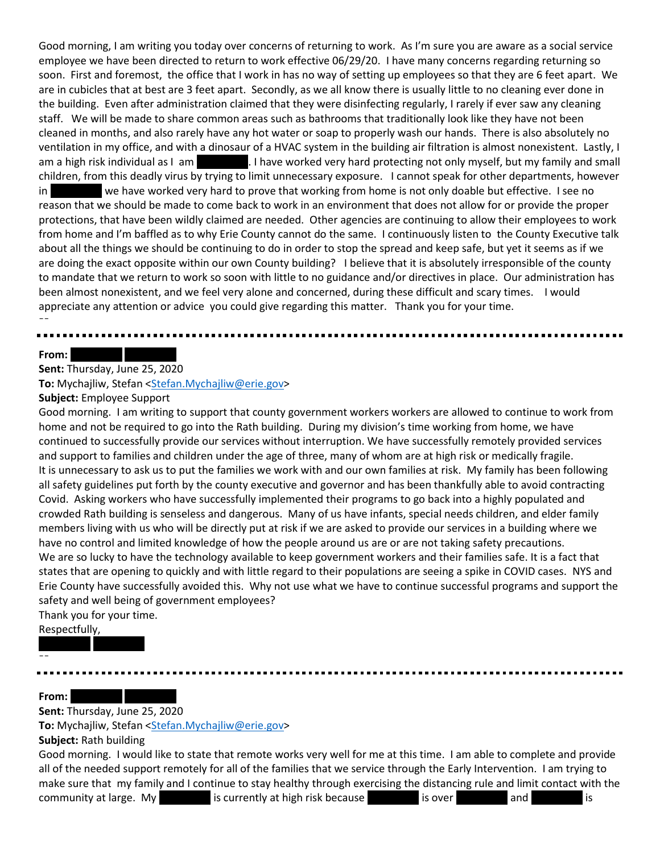Good morning, I am writing you today over concerns of returning to work. As I'm sure you are aware as a social service employee we have been directed to return to work effective 06/29/20. I have many concerns regarding returning so soon. First and foremost, the office that I work in has no way of setting up employees so that they are 6 feet apart. We are in cubicles that at best are 3 feet apart. Secondly, as we all know there is usually little to no cleaning ever done in the building. Even after administration claimed that they were disinfecting regularly, I rarely if ever saw any cleaning staff. We will be made to share common areas such as bathrooms that traditionally look like they have not been cleaned in months, and also rarely have any hot water or soap to properly wash our hands. There is also absolutely no ventilation in my office, and with a dinosaur of a HVAC system in the building air filtration is almost nonexistent. Lastly, I am a high risk individual as I am REDACTED. I have worked very hard protecting not only myself, but my family and small children, from this deadly virus by trying to limit unnecessary exposure. I cannot speak for other departments, however in we have worked very hard to prove that working from home is not only doable but effective. I see no reason that we should be made to come back to work in an environment that does not allow for or provide the proper protections, that have been wildly claimed are needed. Other agencies are continuing to allow their employees to work from home and I'm baffled as to why Erie County cannot do the same. I continuously listen to the County Executive talk about all the things we should be continuing to do in order to stop the spread and keep safe, but yet it seems as if we are doing the exact opposite within our own County building? I believe that it is absolutely irresponsible of the county to mandate that we return to work so soon with little to no guidance and/or directives in place. Our administration has been almost nonexistent, and we feel very alone and concerned, during these difficult and scary times. I would appreciate any attention or advice you could give regarding this matter. Thank you for your time. --

#### From:

#### **Sent:** Thursday, June 25, 2020

To: Mychajliw, Stefan [<Stefan.Mychajliw@erie.gov>](mailto:Stefan.Mychajliw@erie.gov)

**Subject:** Employee Support

Good morning. I am writing to support that county government workers workers are allowed to continue to work from home and not be required to go into the Rath building. During my division's time working from home, we have continued to successfully provide our services without interruption. We have successfully remotely provided services and support to families and children under the age of three, many of whom are at high risk or medically fragile. It is unnecessary to ask us to put the families we work with and our own families at risk. My family has been following all safety guidelines put forth by the county executive and governor and has been thankfully able to avoid contracting Covid. Asking workers who have successfully implemented their programs to go back into a highly populated and crowded Rath building is senseless and dangerous. Many of us have infants, special needs children, and elder family members living with us who will be directly put at risk if we are asked to provide our services in a building where we have no control and limited knowledge of how the people around us are or are not taking safety precautions. We are so lucky to have the technology available to keep government workers and their families safe. It is a fact that states that are opening to quickly and with little regard to their populations are seeing a spike in COVID cases. NYS and Erie County have successfully avoided this. Why not use what we have to continue successful programs and support the safety and well being of government employees?

Thank you for your time.

REDACTED REDACTED

Respectfully,

**From:** 

--

**Sent:** Thursday, June 25, 2020

To: Mychajliw, Stefan [<Stefan.Mychajliw@erie.gov>](mailto:Stefan.Mychajliw@erie.gov)

**Subject:** Rath building

Good morning. I would like to state that remote works very well for me at this time. I am able to complete and provide all of the needed support remotely for all of the families that we service through the Early Intervention. I am trying to make sure that my family and I continue to stay healthy through exercising the distancing rule and limit contact with the community at large. My REDACTED is currently at high risk because  $\begin{array}{ccc} \text{R} & \text{R} & \text{R} \\ \text{R} & \text{R} & \text{R} \\ \text{R} & \text{R} & \text{R} \end{array}$  is over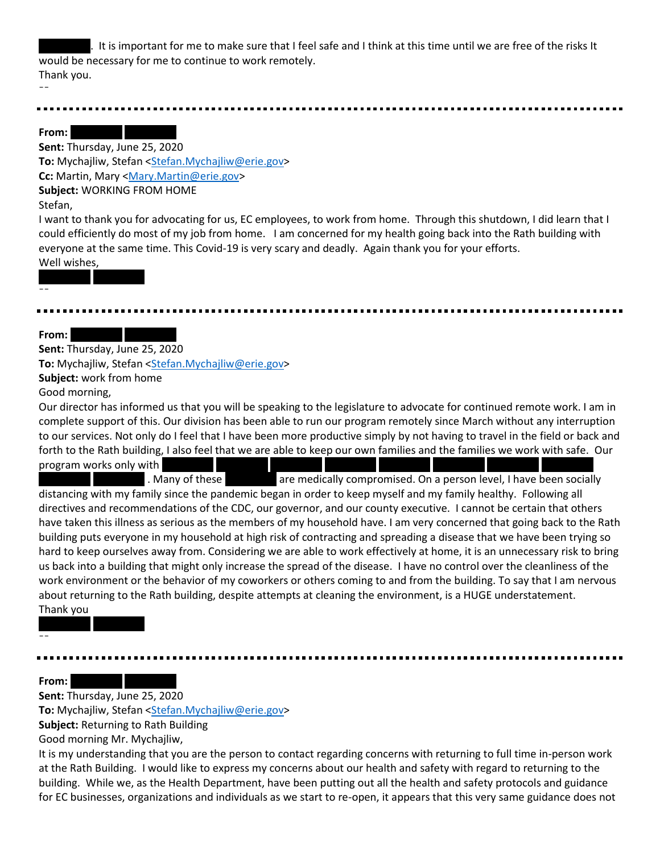. It is important for me to make sure that I feel safe and I think at this time until we are free of the risks It would be necessary for me to continue to work remotely. Thank you. --

#### From: New Redaction Research

**Sent:** Thursday, June 25, 2020 **To:** Mychajliw, Stefan [<Stefan.Mychajliw@erie.gov>](mailto:Stefan.Mychajliw@erie.gov) **Cc:** Martin, Mary [<Mary.Martin@erie.gov>](mailto:Mary.Martin@erie.gov) **Subject:** WORKING FROM HOME Stefan,

I want to thank you for advocating for us, EC employees, to work from home. Through this shutdown, I did learn that I could efficiently do most of my job from home. I am concerned for my health going back into the Rath building with everyone at the same time. This Covid-19 is very scary and deadly. Again thank you for your efforts. Well wishes,

REDACTED REDACTED

| - | - |
|---|---|
|   |   |

**From:** 

**Sent:** Thursday, June 25, 2020

**To:** Mychajliw, Stefan [<Stefan.Mychajliw@erie.gov>](mailto:Stefan.Mychajliw@erie.gov)

**Subject:** work from home

Good morning,

Our director has informed us that you will be speaking to the legislature to advocate for continued remote work. I am in complete support of this. Our division has been able to run our program remotely since March without any interruption to our services. Not only do I feel that I have been more productive simply by not having to travel in the field or back and forth to the Rath building, I also feel that we are able to keep our own families and the families we work with safe. Our program works only with REDACTED REDACTED REDACTED REDACTED REDACTED REDACTED REDACTED REDACTED REDACTED REDACTED REDACTED REDACTED REDACTED REDACTED REDACTED REDACTED REDACTED REDACTED REDACTED REDACTED REDACTED REDACTED

. Many of these **Redact Bachted are and are medically compromised. On a person level, I have been socially** distancing with my family since the pandemic began in order to keep myself and my family healthy. Following all directives and recommendations of the CDC, our governor, and our county executive. I cannot be certain that others have taken this illness as serious as the members of my household have. I am very concerned that going back to the Rath building puts everyone in my household at high risk of contracting and spreading a disease that we have been trying so hard to keep ourselves away from. Considering we are able to work effectively at home, it is an unnecessary risk to bring us back into a building that might only increase the spread of the disease. I have no control over the cleanliness of the work environment or the behavior of my coworkers or others coming to and from the building. To say that I am nervous about returning to the Rath building, despite attempts at cleaning the environment, is a HUGE understatement. Thank you

From: **REDACTED** RED

--

**Sent:** Thursday, June 25, 2020

REDACTED REDACTED

To: Mychajliw, Stefan [<Stefan.Mychajliw@erie.gov>](mailto:Stefan.Mychajliw@erie.gov)

**Subject:** Returning to Rath Building

Good morning Mr. Mychajliw,

It is my understanding that you are the person to contact regarding concerns with returning to full time in-person work at the Rath Building. I would like to express my concerns about our health and safety with regard to returning to the building. While we, as the Health Department, have been putting out all the health and safety protocols and guidance for EC businesses, organizations and individuals as we start to re-open, it appears that this very same guidance does not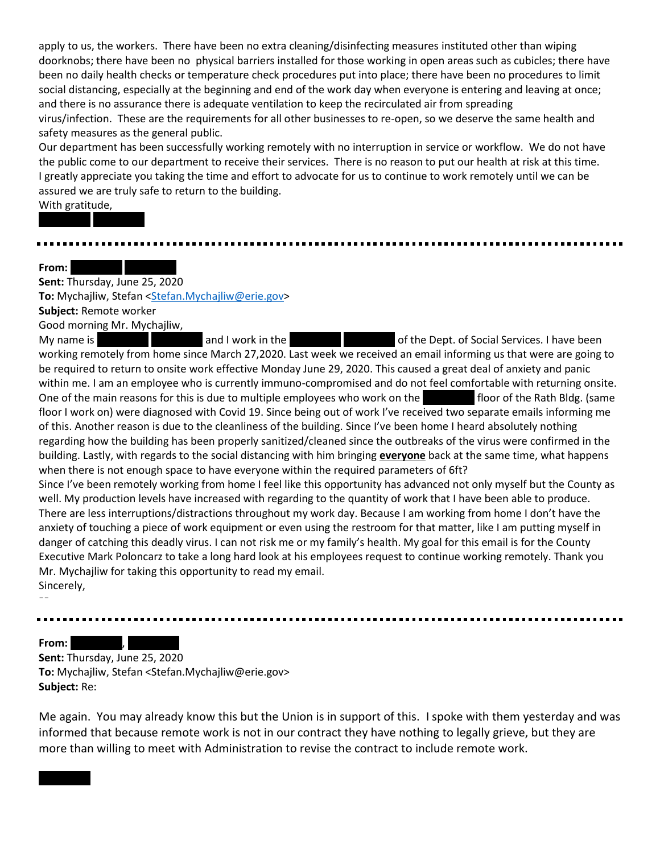apply to us, the workers. There have been no extra cleaning/disinfecting measures instituted other than wiping doorknobs; there have been no physical barriers installed for those working in open areas such as cubicles; there have been no daily health checks or temperature check procedures put into place; there have been no procedures to limit social distancing, especially at the beginning and end of the work day when everyone is entering and leaving at once; and there is no assurance there is adequate ventilation to keep the recirculated air from spreading virus/infection. These are the requirements for all other businesses to re-open, so we deserve the same health and safety measures as the general public.

Our department has been successfully working remotely with no interruption in service or workflow. We do not have the public come to our department to receive their services. There is no reason to put our health at risk at this time. I greatly appreciate you taking the time and effort to advocate for us to continue to work remotely until we can be assured we are truly safe to return to the building.

With gratitude,

REDACTED REDACTED

#### From:

**Sent:** Thursday, June 25, 2020 To: Mychajliw, Stefan [<Stefan.Mychajliw@erie.gov>](mailto:Stefan.Mychajliw@erie.gov) **Subject:** Remote worker Good morning Mr. Mychajliw,

My name is **REDACTED REDACTED REDACTED And I work in the REDACTED REDACTED AT A CONTEDACTED REDACTED REDACTION** of the Dept. of Social Services. I have been working remotely from home since March 27,2020. Last week we received an email informing us that were are going to be required to return to onsite work effective Monday June 29, 2020. This caused a great deal of anxiety and panic within me. I am an employee who is currently immuno-compromised and do not feel comfortable with returning onsite. One of the main reasons for this is due to multiple employees who work on the **Repart of the Rath Bldg.** (same floor I work on) were diagnosed with Covid 19. Since being out of work I've received two separate emails informing me of this. Another reason is due to the cleanliness of the building. Since I've been home I heard absolutely nothing regarding how the building has been properly sanitized/cleaned since the outbreaks of the virus were confirmed in the building. Lastly, with regards to the social distancing with him bringing **everyone** back at the same time, what happens when there is not enough space to have everyone within the required parameters of 6ft? Since I've been remotely working from home I feel like this opportunity has advanced not only myself but the County as well. My production levels have increased with regarding to the quantity of work that I have been able to produce. There are less interruptions/distractions throughout my work day. Because I am working from home I don't have the anxiety of touching a piece of work equipment or even using the restroom for that matter, like I am putting myself in danger of catching this deadly virus. I can not risk me or my family's health. My goal for this email is for the County Executive Mark Poloncarz to take a long hard look at his employees request to continue working remotely. Thank you Mr. Mychajliw for taking this opportunity to read my email. Sincerely,

--

From: **REDACTED**, **REDACTED** 

**Sent:** Thursday, June 25, 2020 **To:** Mychajliw, Stefan <Stefan.Mychajliw@erie.gov> **Subject:** Re:

Me again. You may already know this but the Union is in support of this. I spoke with them yesterday and was informed that because remote work is not in our contract they have nothing to legally grieve, but they are more than willing to meet with Administration to revise the contract to include remote work.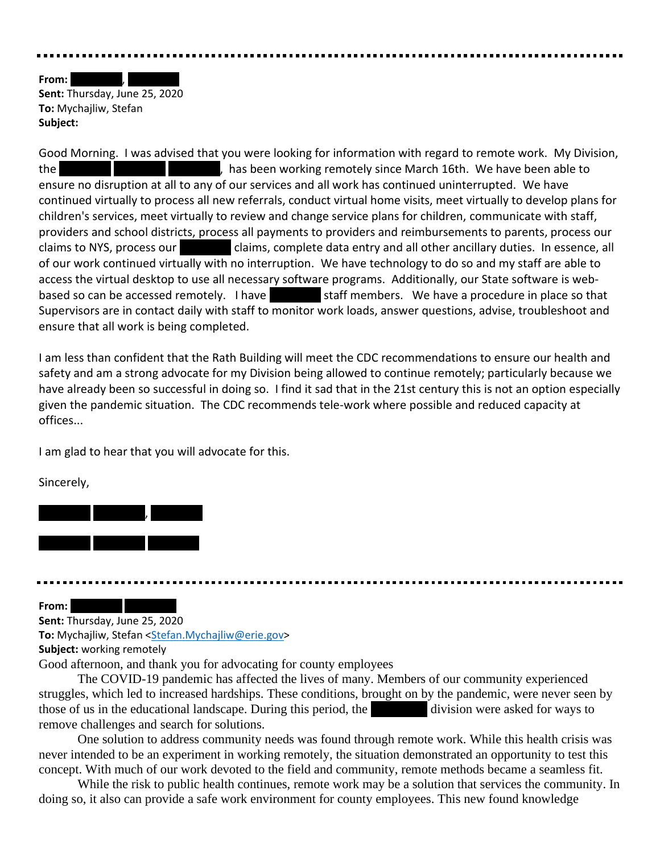**From:** 

**Sent:** Thursday, June 25, 2020 **To:** Mychajliw, Stefan **Subject:**

Good Morning. I was advised that you were looking for information with regard to remote work. My Division, the REDACTED REDACTED REDACTED REDACTED RED. As has been working remotely since March 16th. We have been able to ensure no disruption at all to any of our services and all work has continued uninterrupted. We have continued virtually to process all new referrals, conduct virtual home visits, meet virtually to develop plans for children's services, meet virtually to review and change service plans for children, communicate with staff, providers and school districts, process all payments to providers and reimbursements to parents, process our claims to NYS, process our claims, complete data entry and all other ancillary duties. In essence, all of our work continued virtually with no interruption. We have technology to do so and my staff are able to access the virtual desktop to use all necessary software programs. Additionally, our State software is webbased so can be accessed remotely. I have staff members. We have a procedure in place so that Supervisors are in contact daily with staff to monitor work loads, answer questions, advise, troubleshoot and ensure that all work is being completed.

I am less than confident that the Rath Building will meet the CDC recommendations to ensure our health and safety and am a strong advocate for my Division being allowed to continue remotely; particularly because we have already been so successful in doing so. I find it sad that in the 21st century this is not an option especially given the pandemic situation. The CDC recommends tele-work where possible and reduced capacity at offices...

I am glad to hear that you will advocate for this.

Sincerely,



From:

**Sent:** Thursday, June 25, 2020 **To:** Mychajliw, Stefan [<Stefan.Mychajliw@erie.gov>](mailto:Stefan.Mychajliw@erie.gov) **Subject:** working remotely

Good afternoon, and thank you for advocating for county employees

The COVID-19 pandemic has affected the lives of many. Members of our community experienced struggles, which led to increased hardships. These conditions, brought on by the pandemic, were never seen by those of us in the educational landscape. During this period, the division were asked for ways to remove challenges and search for solutions.

One solution to address community needs was found through remote work. While this health crisis was never intended to be an experiment in working remotely, the situation demonstrated an opportunity to test this concept. With much of our work devoted to the field and community, remote methods became a seamless fit.

While the risk to public health continues, remote work may be a solution that services the community. In doing so, it also can provide a safe work environment for county employees. This new found knowledge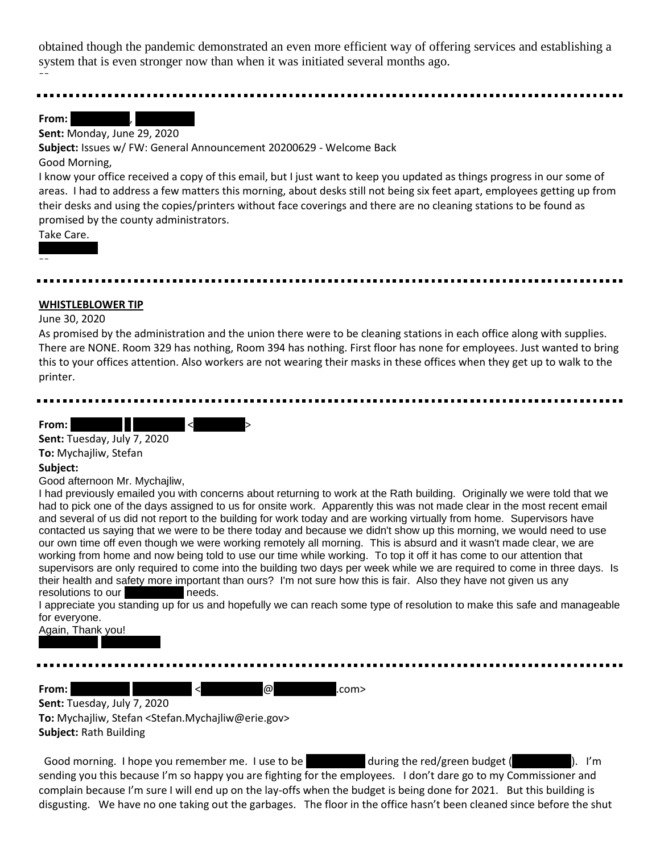obtained though the pandemic demonstrated an even more efficient way of offering services and establishing a system that is even stronger now than when it was initiated several months ago. --

**From:** 

#### **Sent:** Monday, June 29, 2020

**Subject:** Issues w/ FW: General Announcement 20200629 - Welcome Back

Good Morning,

I know your office received a copy of this email, but I just want to keep you updated as things progress in our some of areas. I had to address a few matters this morning, about desks still not being six feet apart, employees getting up from their desks and using the copies/printers without face coverings and there are no cleaning stations to be found as promised by the county administrators.

Take Care.

# --

## **WHISTLEBLOWER TIP**

#### June 30, 2020

As promised by the administration and the union there were to be cleaning stations in each office along with supplies. There are NONE. Room 329 has nothing, Room 394 has nothing. First floor has none for employees. Just wanted to bring this to your offices attention. Also workers are not wearing their masks in these offices when they get up to walk to the printer.

From: **REDACTED Example 2** 

**Sent:** Tuesday, July 7, 2020

**To:** Mychajliw, Stefan

#### **Subject:**

Good afternoon Mr. Mychajliw,

I had previously emailed you with concerns about returning to work at the Rath building. Originally we were told that we had to pick one of the days assigned to us for onsite work. Apparently this was not made clear in the most recent email and several of us did not report to the building for work today and are working virtually from home. Supervisors have contacted us saying that we were to be there today and because we didn't show up this morning, we would need to use our own time off even though we were working remotely all morning. This is absurd and it wasn't made clear, we are working from home and now being told to use our time while working. To top it off it has come to our attention that supervisors are only required to come into the building two days per week while we are required to come in three days. Is their health and safety more important than ours? I'm not sure how this is fair. Also they have not given us any resolutions to our resolutions to our

I appreciate you standing up for us and hopefully we can reach some type of resolution to make this safe and manageable for everyone.

Again, Thank you!

REDACTED REDACTED

**From:** Redeath Redaction Reduction Reduction Reduction Reduction Reduction Reduction Reduction Red

**Sent:** Tuesday, July 7, 2020 **To:** Mychajliw, Stefan <Stefan.Mychajliw@erie.gov> **Subject:** Rath Building

Good morning. I hope you remember me. I use to be  $R = \frac{1}{2}$  during the red/green budget (ReDACTED). I'm sending you this because I'm so happy you are fighting for the employees. I don't dare go to my Commissioner and complain because I'm sure I will end up on the lay-offs when the budget is being done for 2021. But this building is disgusting. We have no one taking out the garbages. The floor in the office hasn't been cleaned since before the shut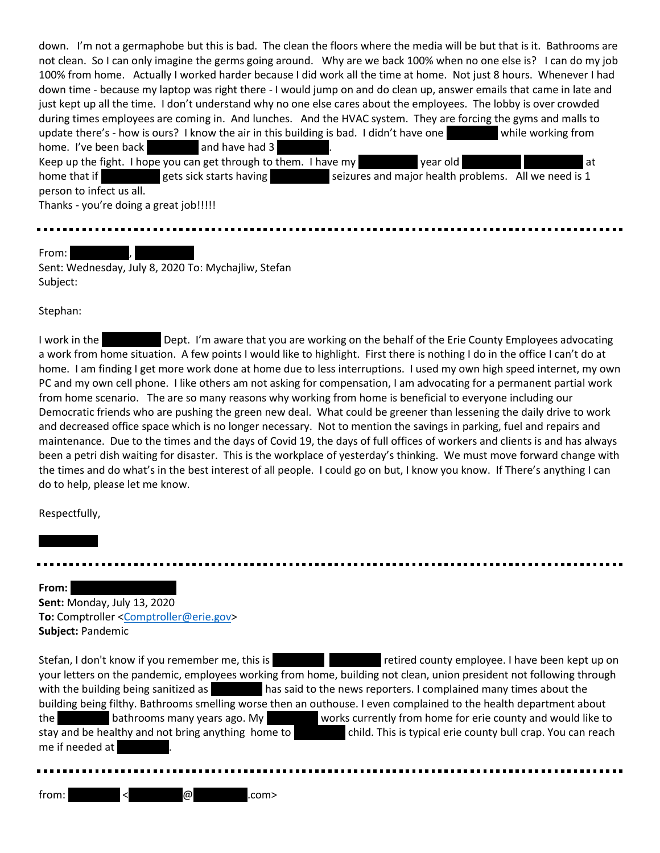| down. I'm not a germaphobe but this is bad. The clean the floors where the media will be but that is it. Bathrooms are                                                                                                                                                                       |
|----------------------------------------------------------------------------------------------------------------------------------------------------------------------------------------------------------------------------------------------------------------------------------------------|
| not clean. So I can only imagine the germs going around. Why are we back 100% when no one else is? I can do my job                                                                                                                                                                           |
| 100% from home. Actually I worked harder because I did work all the time at home. Not just 8 hours. Whenever I had                                                                                                                                                                           |
| down time - because my laptop was right there - I would jump on and do clean up, answer emails that came in late and                                                                                                                                                                         |
| just kept up all the time. I don't understand why no one else cares about the employees. The lobby is over crowded                                                                                                                                                                           |
| during times employees are coming in. And lunches. And the HVAC system. They are forcing the gyms and malls to                                                                                                                                                                               |
| update there's - how is ours? I know the air in this building is bad. I didn't have one while working from                                                                                                                                                                                   |
| home. I've been back and have had 3                                                                                                                                                                                                                                                          |
| year old<br>Keep up the fight. I hope you can get through to them. I have my<br>l at                                                                                                                                                                                                         |
| home that if <b>the search search search is a search search of the search search in the search search search in the search search in the search search in the search search in the search in the search in the search in the sea</b><br>seizures and major health problems. All we need is 1 |
| person to infect us all.                                                                                                                                                                                                                                                                     |
| Thanks - you're doing a great job!!!!!                                                                                                                                                                                                                                                       |
|                                                                                                                                                                                                                                                                                              |

# From:

Sent: Wednesday, July 8, 2020 To: Mychajliw, Stefan Subject:

Stephan:

I work in the **REDACTED Dept. I'm aware that you are working on the behalf of the Erie County Employees advocating** a work from home situation. A few points I would like to highlight. First there is nothing I do in the office I can't do at home. I am finding I get more work done at home due to less interruptions. I used my own high speed internet, my own PC and my own cell phone. I like others am not asking for compensation, I am advocating for a permanent partial work from home scenario. The are so many reasons why working from home is beneficial to everyone including our Democratic friends who are pushing the green new deal. What could be greener than lessening the daily drive to work and decreased office space which is no longer necessary. Not to mention the savings in parking, fuel and repairs and maintenance. Due to the times and the days of Covid 19, the days of full offices of workers and clients is and has always been a petri dish waiting for disaster. This is the workplace of yesterday's thinking. We must move forward change with the times and do what's in the best interest of all people. I could go on but, I know you know. If There's anything I can do to help, please let me know.

Respectfully,

#### From:

**Sent:** Monday, July 13, 2020 **To:** Comptroller [<Comptroller@erie.gov>](mailto:Comptroller@erie.gov) **Subject:** Pandemic

Stefan, I don't know if you remember me, this is retired county employee. I have been kept up on your letters on the pandemic, employees working from home, building not clean, union president not following through with the building being sanitized as **REDACTED has said to the news reporters.** I complained many times about the building being filthy. Bathrooms smelling worse then an outhouse. I even complained to the health department about the bathrooms many years ago. My bathrooms many years ago. My REDACTED works currently from home for erie county and would like to stay and be healthy and not bring anything home to **REDACTED child. This is typical erie county bull crap.** You can reach me if needed at

 $f$ rom:  $\leq$   $\qquad \qquad \textcircled{R}$  .com>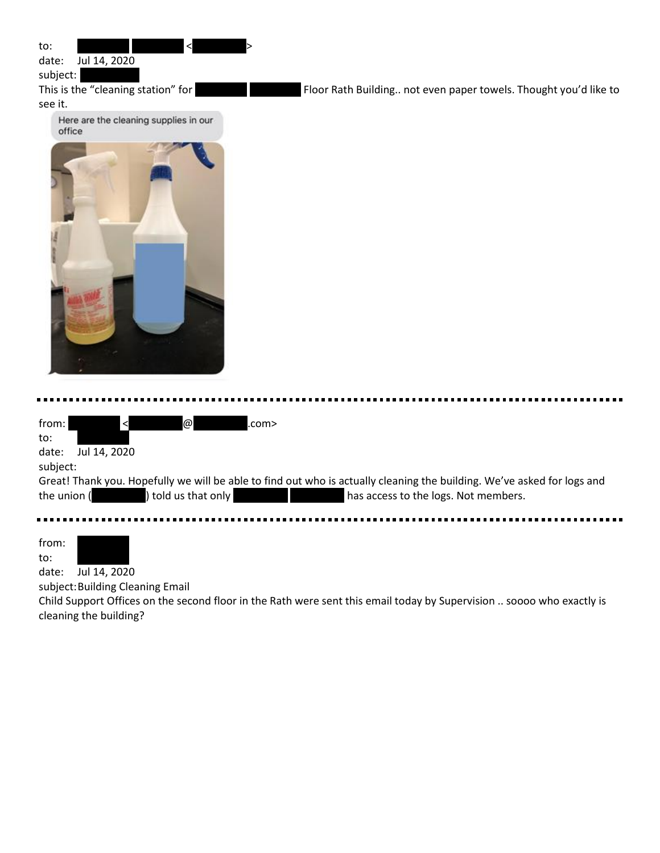| to:<br>Jul 14, 2020<br>date:<br>subject:<br>This is the "cleaning station" for<br>Floor Rath Building not even paper towels. Thought you'd like to<br>see it.                                                                                                                            |
|------------------------------------------------------------------------------------------------------------------------------------------------------------------------------------------------------------------------------------------------------------------------------------------|
| Here are the cleaning supplies in our<br>office                                                                                                                                                                                                                                          |
| from:<br>$\omega$<br>.com><br>$\prec$<br>to:<br>date:<br>Jul 14, 2020<br>subject:<br>Great! Thank you. Hopefully we will be able to find out who is actually cleaning the building. We've asked for logs and<br>the union (<br>told us that only<br>has access to the logs. Not members. |
| from:<br>to:<br>Jul 14, 2020<br>date:<br>subject: Building Cleaning Email<br>Child Support Offices on the second floor in the Rath were sent this email today by Supervision  soooo who exactly is                                                                                       |

Child Support Offices of<br>cleaning the building?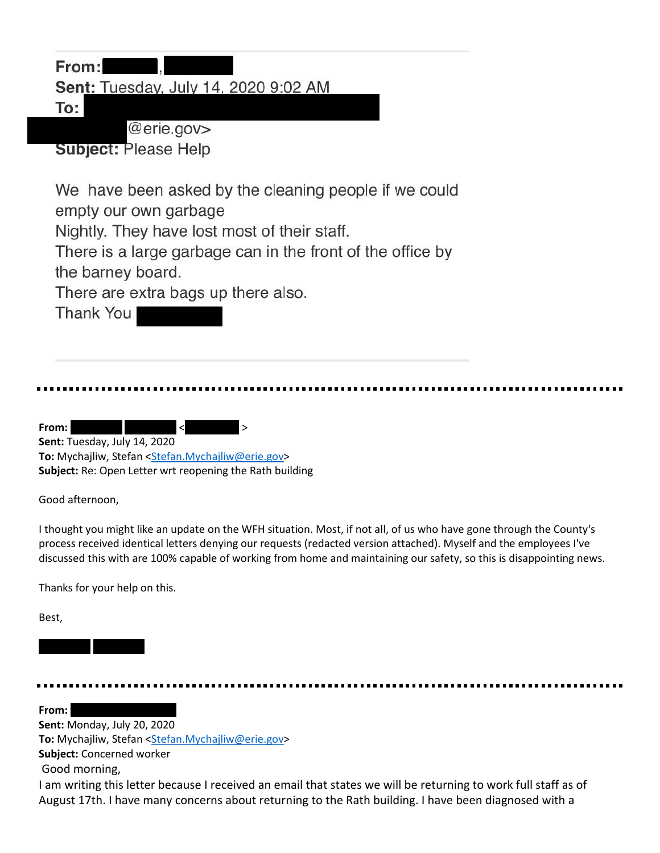| From:<br><b>Sent: Tuesday, July 14, 2020 9:02 AM</b>                  |  |
|-----------------------------------------------------------------------|--|
| To:<br>@erie.gov>                                                     |  |
| <b>Subject: Please Help</b>                                           |  |
| We have been asked by the cleaning people if we could                 |  |
| empty our own garbage<br>Nightly. They have lost most of their staff. |  |
| There is a large garbage can in the front of the office by            |  |
| the barney board.                                                     |  |
| There are extra bags up there also.<br>Thank You                      |  |
|                                                                       |  |
|                                                                       |  |
|                                                                       |  |
|                                                                       |  |

From: Redaction Redaction of the Redaction of the Redaction of the Redaction of the Redaction of the Redaction of the Redaction of the Redaction of the Redaction of the Redaction of the Redaction of the Redaction of the Re **Sent:** Tuesday, July 14, 2020 **To:** Mychajliw, Stefan [<Stefan.Mychajliw@erie.gov>](mailto:Stefan.Mychajliw@erie.gov) **Subject:** Re: Open Letter wrt reopening the Rath building

Good afternoon,

I thought you might like an update on the WFH situation. Most, if not all, of us who have gone through the County's process received identical letters denying our requests (redacted version attached). Myself and the employees I've discussed this with are 100% capable of working from home and maintaining our safety, so this is disappointing news.

Thanks for your help on this.

REDACTED REDACTED

Best,

É

From: **Sent:** Monday, July 20, 2020 To: Mychajliw, Stefan [<Stefan.Mychajliw@erie.gov>](mailto:Stefan.Mychajliw@erie.gov) **Subject:** Concerned worker Good morning,

I am writing this letter because I received an email that states we will be returning to work full staff as of August 17th. I have many concerns about returning to the Rath building. I have been diagnosed with a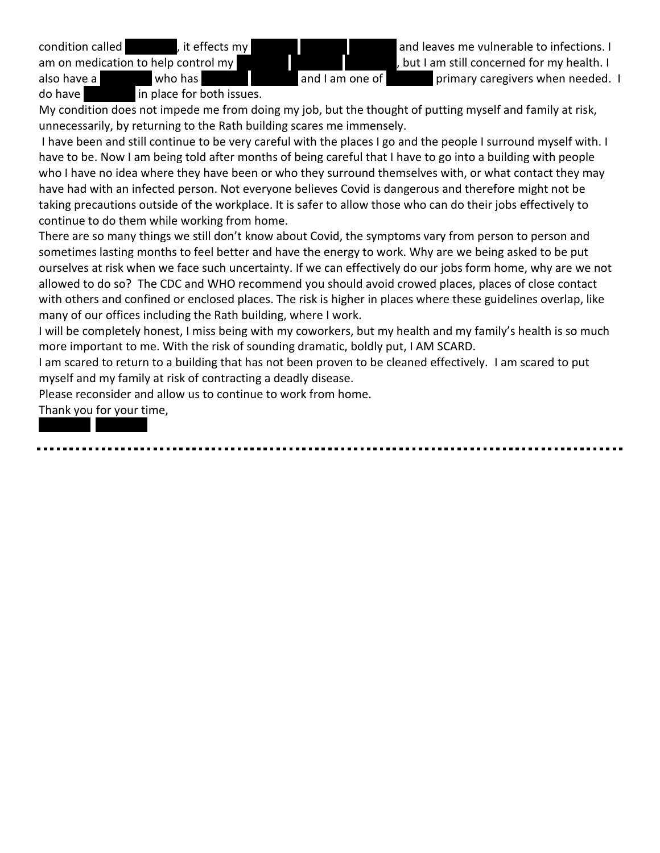am on medication to help control my **REDACTED REDACTED** REDACTED REDACTED, but I am still concerned for my health. I also have a **REDACTED who has REDACTED REDACTED REDACTED** and I am one of **REDACTED primary caregivers when needed.** I

condition called **REDACTED, it effects my REDACTED REDACTED** and leaves me vulnerable to infections. I

do have  $\begin{array}{r} \text{in place for both issues.} \end{array}$ 

My condition does not impede me from doing my job, but the thought of putting myself and family at risk, unnecessarily, by returning to the Rath building scares me immensely.

I have been and still continue to be very careful with the places I go and the people I surround myself with. I have to be. Now I am being told after months of being careful that I have to go into a building with people who I have no idea where they have been or who they surround themselves with, or what contact they may have had with an infected person. Not everyone believes Covid is dangerous and therefore might not be taking precautions outside of the workplace. It is safer to allow those who can do their jobs effectively to continue to do them while working from home.

There are so many things we still don't know about Covid, the symptoms vary from person to person and sometimes lasting months to feel better and have the energy to work. Why are we being asked to be put ourselves at risk when we face such uncertainty. If we can effectively do our jobs form home, why are we not allowed to do so? The CDC and WHO recommend you should avoid crowed places, places of close contact with others and confined or enclosed places. The risk is higher in places where these guidelines overlap, like many of our offices including the Rath building, where I work.

I will be completely honest, I miss being with my coworkers, but my health and my family's health is so much more important to me. With the risk of sounding dramatic, boldly put, I AM SCARD.

I am scared to return to a building that has not been proven to be cleaned effectively. I am scared to put myself and my family at risk of contracting a deadly disease.

Please reconsider and allow us to continue to work from home.

Thank you for your time,

REDACTED REDACTED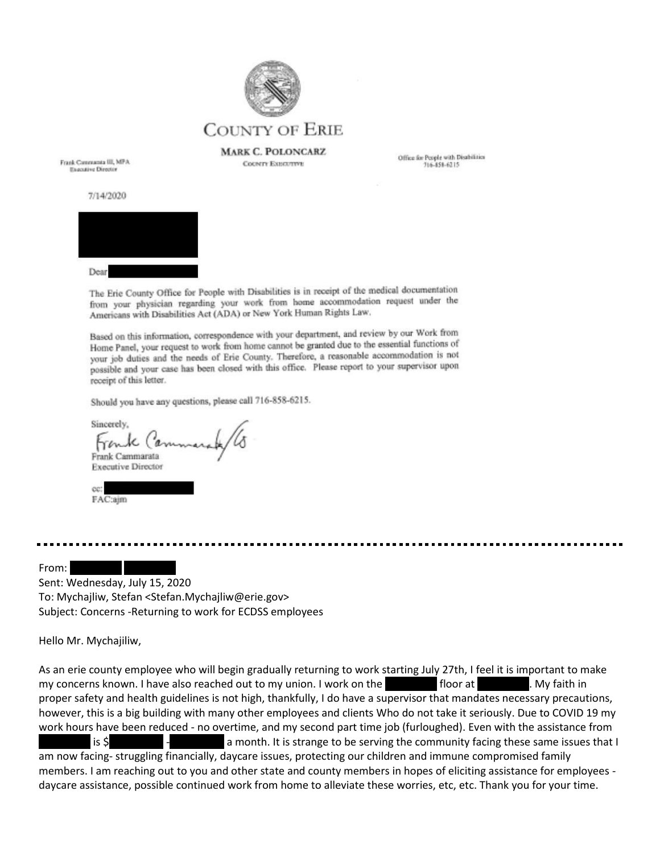

**MARK C. POLONCARZ COUNTY EXECUTIVE** 

Office for People with Disabilities 716-858-6215

Frank Commanta III, MPA **Executive Director** 

7/14/2020



The Eric County Office for People with Disabilities is in receipt of the medical documentation from your physician regarding your work from home accommodation request under the Americans with Disabilities Act (ADA) or New York Human Rights Law.

Based on this information, correspondence with your department, and review by our Work from Home Panel, your request to work from home cannot be granted due to the essential functions of your job duties and the needs of Erie County. Therefore, a reasonable accommodation is not possible and your case has been closed with this office. Please report to your supervisor upon receipt of this letter.

Should you have any questions, please call 716-858-6215.

Sincerely.  $16(a)$ Frank Cammarata **Executive Director** 



From:

Sent: Wednesday, July 15, 2020 To: Mychajliw, Stefan <Stefan.Mychajliw@erie.gov> Subject: Concerns -Returning to work for ECDSS employees

Hello Mr. Mychajiliw,

As an erie county employee who will begin gradually returning to work starting July 27th, I feel it is important to make my concerns known. I have also reached out to my union. I work on the **REDACTED floor at** RepACTED floor at REDACTED. My faith in proper safety and health guidelines is not high, thankfully, I do have a supervisor that mandates necessary precautions, however, this is a big building with many other employees and clients Who do not take it seriously. Due to COVID 19 my work hours have been reduced - no overtime, and my second part time job (furloughed). Even with the assistance from is  $\zeta$  is  $\zeta$  - Repart a month. It is strange to be serving the community facing these same issues that I am now facing- struggling financially, daycare issues, protecting our children and immune compromised family members. I am reaching out to you and other state and county members in hopes of eliciting assistance for employees daycare assistance, possible continued work from home to alleviate these worries, etc, etc. Thank you for your time.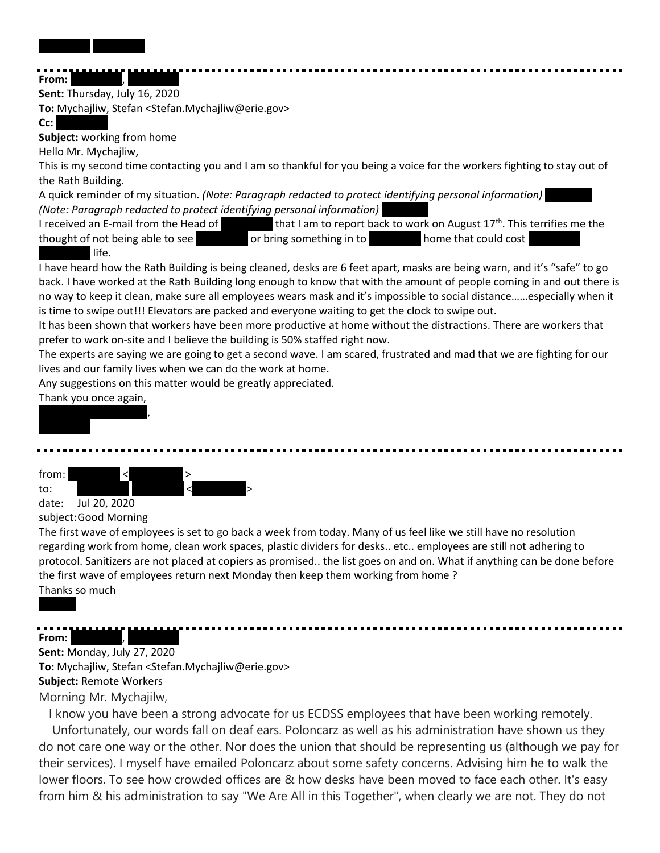REDACTED REDACTED

#### From: **Sent:** Thursday, July 16, 2020

**To:** Mychajliw, Stefan <Stefan.Mychajliw@erie.gov>

# Cc:

**Subject:** working from home

Hello Mr. Mychajliw,

This is my second time contacting you and I am so thankful for you being a voice for the workers fighting to stay out of the Rath Building.

A quick reminder of my situation. *(Note: Paragraph redacted to protect identifying personal information) (Note: Paragraph redacted to protect identifying personal information)* 

I received an E-mail from the Head of  $R = 1$  that I am to report back to work on August 17<sup>th</sup>. This terrifies me the thought of not being able to see **REDACTED or bring something in to** REDACTED home that could cost

# life.

I have heard how the Rath Building is being cleaned, desks are 6 feet apart, masks are being warn, and it's "safe" to go back. I have worked at the Rath Building long enough to know that with the amount of people coming in and out there is no way to keep it clean, make sure all employees wears mask and it's impossible to social distance……especially when it is time to swipe out!!! Elevators are packed and everyone waiting to get the clock to swipe out.

It has been shown that workers have been more productive at home without the distractions. There are workers that prefer to work on-site and I believe the building is 50% staffed right now.

The experts are saying we are going to get a second wave. I am scared, frustrated and mad that we are fighting for our lives and our family lives when we can do the work at home.

Any suggestions on this matter would be greatly appreciated.

# Thank you once again,



from:

to: REDACTED REDACTED < REDACTED> date: Jul 20, 2020

subject:Good Morning

The first wave of employees is set to go back a week from today. Many of us feel like we still have no resolution regarding work from home, clean work spaces, plastic dividers for desks.. etc.. employees are still not adhering to protocol. Sanitizers are not placed at copiers as promised.. the list goes on and on. What if anything can be done before the first wave of employees return next Monday then keep them working from home ? Thanks so much

# **From:**

# **Sent:** Monday, July 27, 2020

**To:** Mychajliw, Stefan <Stefan.Mychajliw@erie.gov> **Subject:** Remote Workers

Morning Mr. Mychajilw,

I know you have been a strong advocate for us ECDSS employees that have been working remotely. Unfortunately, our words fall on deaf ears. Poloncarz as well as his administration have shown us they do not care one way or the other. Nor does the union that should be representing us (although we pay for their services). I myself have emailed Poloncarz about some safety concerns. Advising him he to walk the lower floors. To see how crowded offices are & how desks have been moved to face each other. It's easy from him & his administration to say "We Are All in this Together", when clearly we are not. They do not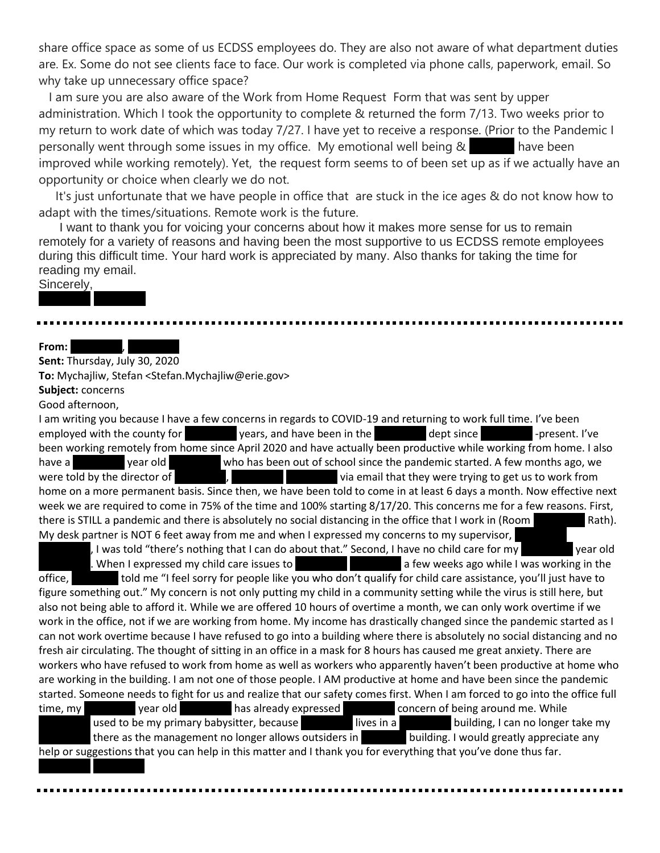share office space as some of us ECDSS employees do. They are also not aware of what department duties are. Ex. Some do not see clients face to face. Our work is completed via phone calls, paperwork, email. So why take up unnecessary office space?

I am sure you are also aware of the Work from Home Request Form that was sent by upper administration. Which I took the opportunity to complete & returned the form 7/13. Two weeks prior to my return to work date of which was today 7/27. I have yet to receive a response. (Prior to the Pandemic I personally went through some issues in my office. My emotional well being & TeDAC have been improved while working remotely). Yet, the request form seems to of been set up as if we actually have an opportunity or choice when clearly we do not.

It's just unfortunate that we have people in office that are stuck in the ice ages & do not know how to adapt with the times/situations. Remote work is the future.

I want to thank you for voicing your concerns about how it makes more sense for us to remain remotely for a variety of reasons and having been the most supportive to us ECDSS remote employees during this difficult time. Your hard work is appreciated by many. Also thanks for taking the time for reading my email.

## Sincerely,

#### **From:**

**Sent:** Thursday, July 30, 2020

**To:** Mychajliw, Stefan <Stefan.Mychajliw@erie.gov>

**Subject:** concerns

REDACTED REDACTED

REDACTED REDACTED

Good afternoon,

I am writing you because I have a few concerns in regards to COVID-19 and returning to work full time. I've been employed with the county for years, and have been in the dept since -present. I've been working remotely from home since April 2020 and have actually been productive while working from home. I also have a REDACTED year old REDACTED who has been out of school since the pandemic started. A few months ago, we were told by the director of  $R = R$ ,  $R = R$  and  $R = R$  wia email that they were trying to get us to work from home on a more permanent basis. Since then, we have been told to come in at least 6 days a month. Now effective next week we are required to come in 75% of the time and 100% starting 8/17/20. This concerns me for a few reasons. First, there is STILL a pandemic and there is absolutely no social distancing in the office that I work in (Room Rath). My desk partner is NOT 6 feet away from me and when I expressed my concerns to my supervisor,

, I was told "there's nothing that I can do about that." Second, I have no child care for my  $\blacksquare$  year old . When I expressed my child care issues to  $R = \frac{1}{2}$  a few weeks ago while I was working in the office, told me "I feel sorry for people like you who don't qualify for child care assistance, you'll just have to figure something out." My concern is not only putting my child in a community setting while the virus is still here, but also not being able to afford it. While we are offered 10 hours of overtime a month, we can only work overtime if we work in the office, not if we are working from home. My income has drastically changed since the pandemic started as I can not work overtime because I have refused to go into a building where there is absolutely no social distancing and no fresh air circulating. The thought of sitting in an office in a mask for 8 hours has caused me great anxiety. There are workers who have refused to work from home as well as workers who apparently haven't been productive at home who are working in the building. I am not one of those people. I AM productive at home and have been since the pandemic started. Someone needs to fight for us and realize that our safety comes first. When I am forced to go into the office full time, my vear old has already expressed concern of being around me. While used to be my primary babysitter, because **REDACTED lives in a** REDACTED building, I can no longer take my there as the management no longer allows outsiders in EDAC building. I would greatly appreciate any help or suggestions that you can help in this matter and I thank you for everything that you've done thus far.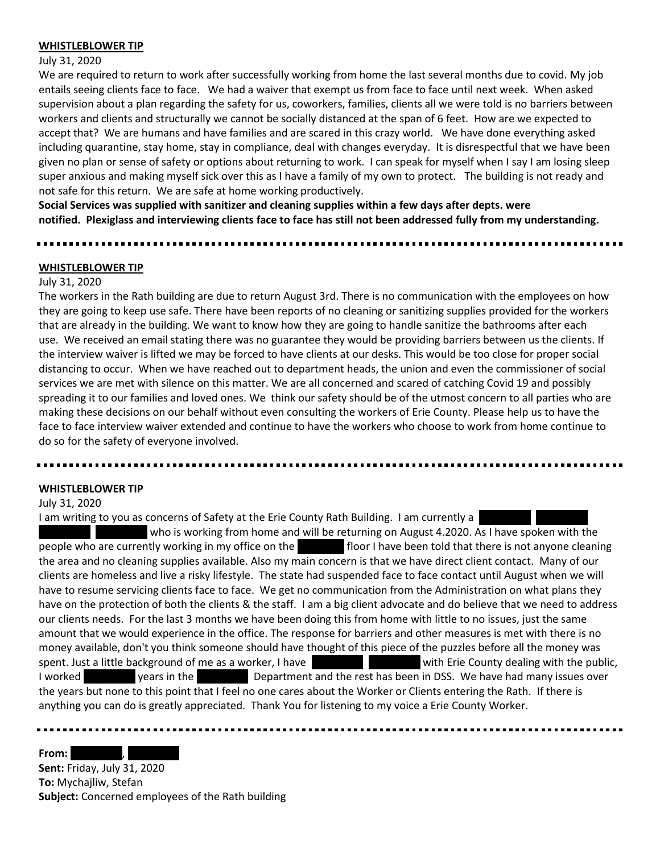#### **WHISTLEBLOWER TIP**

#### July 31, 2020

We are required to return to work after successfully working from home the last several months due to covid. My job entails seeing clients face to face. We had a waiver that exempt us from face to face until next week. When asked supervision about a plan regarding the safety for us, coworkers, families, clients all we were told is no barriers between workers and clients and structurally we cannot be socially distanced at the span of 6 feet. How are we expected to accept that? We are humans and have families and are scared in this crazy world. We have done everything asked including quarantine, stay home, stay in compliance, deal with changes everyday. It is disrespectful that we have been given no plan or sense of safety or options about returning to work. I can speak for myself when I say I am losing sleep super anxious and making myself sick over this as I have a family of my own to protect. The building is not ready and not safe for this return. We are safe at home working productively.

**Social Services was supplied with sanitizer and cleaning supplies within a few days after depts. were notified. Plexiglass and interviewing clients face to face has still not been addressed fully from my understanding.**

#### **WHISTLEBLOWER TIP**

#### July 31, 2020

The workers in the Rath building are due to return August 3rd. There is no communication with the employees on how they are going to keep use safe. There have been reports of no cleaning or sanitizing supplies provided for the workers that are already in the building. We want to know how they are going to handle sanitize the bathrooms after each use. We received an email stating there was no guarantee they would be providing barriers between us the clients. If the interview waiver is lifted we may be forced to have clients at our desks. This would be too close for proper social distancing to occur. When we have reached out to department heads, the union and even the commissioner of social services we are met with silence on this matter. We are all concerned and scared of catching Covid 19 and possibly spreading it to our families and loved ones. We think our safety should be of the utmost concern to all parties who are making these decisions on our behalf without even consulting the workers of Erie County. Please help us to have the face to face interview waiver extended and continue to have the workers who choose to work from home continue to do so for the safety of everyone involved.

#### **WHISTLEBLOWER TIP**

July 31, 2020

I am writing to you as concerns of Safety at the Erie County Rath Building. I am currently a

who is working from home and will be returning on August 4.2020. As I have spoken with the people who are currently working in my office on the **REDACTED floor I have been told that there is not anyone cleaning** the area and no cleaning supplies available. Also my main concern is that we have direct client contact. Many of our clients are homeless and live a risky lifestyle. The state had suspended face to face contact until August when we will have to resume servicing clients face to face. We get no communication from the Administration on what plans they have on the protection of both the clients & the staff. I am a big client advocate and do believe that we need to address our clients needs. For the last 3 months we have been doing this from home with little to no issues, just the same amount that we would experience in the office. The response for barriers and other measures is met with there is no money available, don't you think someone should have thought of this piece of the puzzles before all the money was spent. Just a little background of me as a worker, I have REDACTED REDACTED with Erie County dealing with the public, I worked vears in the Department and the rest has been in DSS. We have had many issues over the years but none to this point that I feel no one cares about the Worker or Clients entering the Rath. If there is anything you can do is greatly appreciated. Thank You for listening to my voice a Erie County Worker.

...............................

From:

**Sent:** Friday, July 31, 2020 **To:** Mychajliw, Stefan **Subject:** Concerned employees of the Rath building

------------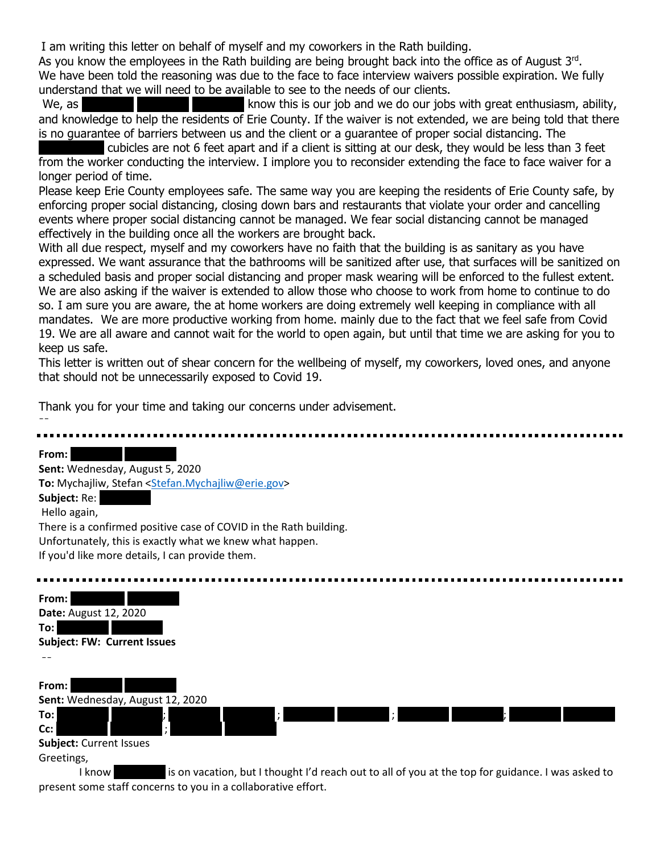I am writing this letter on behalf of myself and my coworkers in the Rath building.

As you know the employees in the Rath building are being brought back into the office as of August 3<sup>rd</sup>. We have been told the reasoning was due to the face to face interview waivers possible expiration. We fully understand that we will need to be available to see to the needs of our clients.

We, as REDACTED REDACTED REDACTION REDACTION REDACTION REDACTION REDACTION REDACTION REDACTION REDACTION REDACTION REDACTION REDACTION REDACTION REDACTION REDACTION REDACTION REDACTION REDACTION REDACTION REDACTION REDACTI and knowledge to help the residents of Erie County. If the waiver is not extended, we are being told that there is no guarantee of barriers between us and the client or a guarantee of proper social distancing. The

cubicles are not 6 feet apart and if a client is sitting at our desk, they would be less than 3 feet from the worker conducting the interview. I implore you to reconsider extending the face to face waiver for a longer period of time.

Please keep Erie County employees safe. The same way you are keeping the residents of Erie County safe, by enforcing proper social distancing, closing down bars and restaurants that violate your order and cancelling events where proper social distancing cannot be managed. We fear social distancing cannot be managed effectively in the building once all the workers are brought back.

With all due respect, myself and my coworkers have no faith that the building is as sanitary as you have expressed. We want assurance that the bathrooms will be sanitized after use, that surfaces will be sanitized on a scheduled basis and proper social distancing and proper mask wearing will be enforced to the fullest extent. We are also asking if the waiver is extended to allow those who choose to work from home to continue to do so. I am sure you are aware, the at home workers are doing extremely well keeping in compliance with all mandates. We are more productive working from home. mainly due to the fact that we feel safe from Covid 19. We are all aware and cannot wait for the world to open again, but until that time we are asking for you to keep us safe.

This letter is written out of shear concern for the wellbeing of myself, my coworkers, loved ones, and anyone that should not be unnecessarily exposed to Covid 19.

Thank you for your time and taking our concerns under advisement. --

From: **REDACTED REDACTED Sent:** Wednesday, August 5, 2020 **To:** Mychajliw, Stefan [<Stefan.Mychajliw@erie.gov>](mailto:Stefan.Mychajliw@erie.gov) Subject: Re: Hello again, There is a confirmed positive case of COVID in the Rath building. Unfortunately, this is exactly what we knew what happen. If you'd like more details, I can provide them.



I know **REDACTED is on vacation, but I thought I'd reach out to all of you at the top for guidance. I was asked to** present some staff concerns to you in a collaborative effort.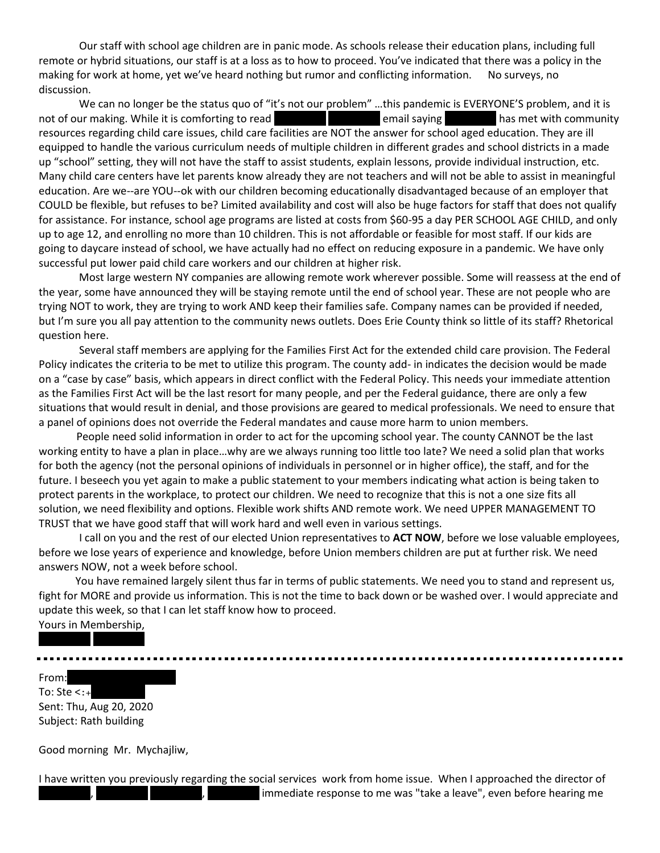Our staff with school age children are in panic mode. As schools release their education plans, including full remote or hybrid situations, our staff is at a loss as to how to proceed. You've indicated that there was a policy in the making for work at home, yet we've heard nothing but rumor and conflicting information. No surveys, no discussion.

We can no longer be the status quo of "it's not our problem" ...this pandemic is EVERYONE'S problem, and it is not of our making. While it is comforting to read REDACTED REDACTED REDACTED REDACTION REDACTION REDACTION RED resources regarding child care issues, child care facilities are NOT the answer for school aged education. They are ill equipped to handle the various curriculum needs of multiple children in different grades and school districts in a made up "school" setting, they will not have the staff to assist students, explain lessons, provide individual instruction, etc. Many child care centers have let parents know already they are not teachers and will not be able to assist in meaningful education. Are we--are YOU--ok with our children becoming educationally disadvantaged because of an employer that COULD be flexible, but refuses to be? Limited availability and cost will also be huge factors for staff that does not qualify for assistance. For instance, school age programs are listed at costs from \$60-95 a day PER SCHOOL AGE CHILD, and only up to age 12, and enrolling no more than 10 children. This is not affordable or feasible for most staff. If our kids are going to daycare instead of school, we have actually had no effect on reducing exposure in a pandemic. We have only successful put lower paid child care workers and our children at higher risk.

 Most large western NY companies are allowing remote work wherever possible. Some will reassess at the end of the year, some have announced they will be staying remote until the end of school year. These are not people who are trying NOT to work, they are trying to work AND keep their families safe. Company names can be provided if needed, but I'm sure you all pay attention to the community news outlets. Does Erie County think so little of its staff? Rhetorical question here.

 Several staff members are applying for the Families First Act for the extended child care provision. The Federal Policy indicates the criteria to be met to utilize this program. The county add- in indicates the decision would be made on a "case by case" basis, which appears in direct conflict with the Federal Policy. This needs your immediate attention as the Families First Act will be the last resort for many people, and per the Federal guidance, there are only a few situations that would result in denial, and those provisions are geared to medical professionals. We need to ensure that a panel of opinions does not override the Federal mandates and cause more harm to union members.

 People need solid information in order to act for the upcoming school year. The county CANNOT be the last working entity to have a plan in place…why are we always running too little too late? We need a solid plan that works for both the agency (not the personal opinions of individuals in personnel or in higher office), the staff, and for the future. I beseech you yet again to make a public statement to your members indicating what action is being taken to protect parents in the workplace, to protect our children. We need to recognize that this is not a one size fits all solution, we need flexibility and options. Flexible work shifts AND remote work. We need UPPER MANAGEMENT TO TRUST that we have good staff that will work hard and well even in various settings.

 I call on you and the rest of our elected Union representatives to **ACT NOW**, before we lose valuable employees, before we lose years of experience and knowledge, before Union members children are put at further risk. We need answers NOW, not a week before school.

 You have remained largely silent thus far in terms of public statements. We need you to stand and represent us, fight for MORE and provide us information. This is not the time to back down or be washed over. I would appreciate and update this week, so that I can let staff know how to proceed.

Yours in Membership, REDACTED REDACTED

From: To: Ste  $\lt$ : + Sent: Thu, Aug 20, 2020 Subject: Rath building

Good morning Mr. Mychajliw,

I have written you previously regarding the social services work from home issue. When I approached the director of immediate response to me was "take a leave", even before hearing me